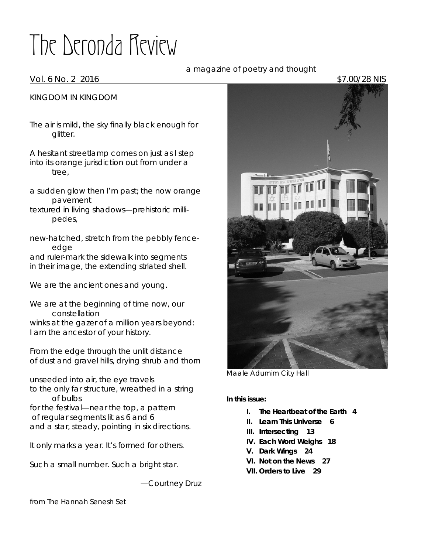# The Deronda Review

# KINGDOM IN KINGDOM

The air is mild, the sky finally black enough for glitter.

A hesitant streetlamp comes on just as I step into its orange jurisdiction out from under a tree,

a sudden glow then I'm past; the now orange pavement

textured in living shadows—prehistoric millipedes,

new-hatched, stretch from the pebbly fenceedge and ruler-mark the sidewalk into segments

in their image, the extending striated shell.

We are the ancient ones and young.

We are at the beginning of time now, our constellation winks at the gazer of a million years beyond: I am the ancestor of your history.

From the edge through the unlit distance of dust and gravel hills, drying shrub and thorn

unseeded into air, the eye travels to the only far structure, wreathed in a string of bulbs for the festival—near the top, a pattern of regular segments lit as 6 and 6 and a star, steady, pointing in six directions.

It only marks a year. It's formed for others.

Such a small number. Such a bright star.

—Courtney Druz

from *The Hannah Senesh Set*

*Maale Adumim City Hall*

*In this issue:*

- *I. The Heartbeat of the Earth 4*
- *II. Learn This Universe 6*
- *III. Intersecting 13*
- *IV. Each Word Weighs 18*
- *V. Dark Wings 24*
- *VI. Not on the News 27*
- **VII.** *Orders to Live 29*

 a magazine of poetry and thought Vol. 6 No. 2 2016 **\$7.00/28 NIS** 

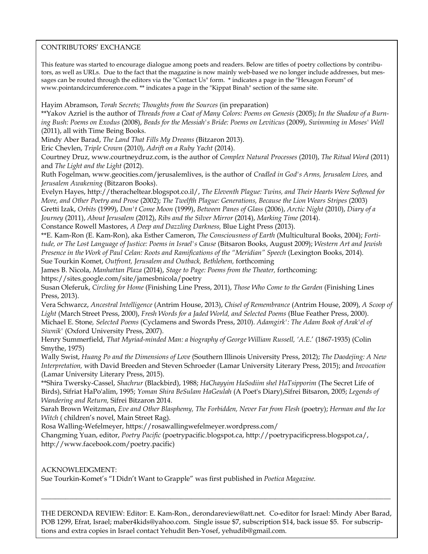# CONTRIBUTORS' EXCHANGE

This feature was started to encourage dialogue among poets and readers. Below are titles of poetry collections by contributors, as well as URLs. Due to the fact that the magazine is now mainly web-based we no longer include addresses, but messages can be routed through the editors via the "Contact Us" form. \* indicates a page in the "Hexagon Forum" of www.pointandcircumference.com. \*\* indicates a page in the "Kippat Binah" section of the same site.

Hayim Abramson, *Torah Secrets; Thoughts from the Sources* (in preparation)

\*\*Yakov Azriel is the author of *Threads from a Coat of Many Colors: Poems on Genesis* (2005); *In the Shadow of a Burning Bush: Poems on Exodus* (2008), *Beads for the Messiah's Bride: Poems on Leviticus* (2009), *Swimming in Moses' Well* (2011), all with Time Being Books.

Mindy Aber Barad, *The Land That Fills My Dreams* (Bitzaron 2013).

Eric Chevlen, *Triple Crown* (2010), *Adrift on a Ruby Yacht* (2014).

Courtney Druz, www.courtneydruz.com, is the author of *Complex Natural Processes* (2010), *The Ritual Word* (2011) and *The Light and the Light* (2012).

Ruth Fogelman, www.geocities.com/jerusalemlives, is the author of *Cradled in God's Arms, Jerusalem Lives,* and *Jerusalem Awakening* (Bitzaron Books).

Evelyn Hayes, http://theracheltear.blogspot.co.il/, *The Eleventh Plague: Twins, and Their Hearts Were Softened for More, and Other Poetry and Prose* (2002); *The Twelfth Plague: Generations, Because the Lion Wears Stripes* (2003) Gretti Izak, *Orbits* (1999), *Don't Come Moon* (1999), *Between Panes of Glass* (2006), *Arctic Night* (2010), *Diary of a Journey* (2011), *About Jerusalem* (2012), *Ribs and the Silver Mirror* (2014), *Marking Time* (2014).

Constance Rowell Mastores, *A Deep and Dazzling Darkness,* Blue Light Press (2013).

\*\*E. Kam-Ron (E. Kam-Ron), aka Esther Cameron, *The Consciousness of Earth* (Multicultural Books, 2004); *Fortitude, or The Lost Language of Justice: Poems in Israel's Cause* (Bitsaron Books, August 2009); *Western Art and Jewish Presence in the Work of Paul Celan: Roots and Ramifications of the "Meridian" Speech* (Lexington Books, 2014). Sue Tourkin Komet, *Outfront, Jerusalem and Outback, Bethlehem,* forthcoming

James B. Nicola, *Manhattan Plaza* (2014), *Stage to Page: Poems from the Theater,* forthcoming:

https://sites.google.com/site/jamesbnicola/poetry

Susan Oleferuk, *Circling for Home* (Finishing Line Press, 2011), *Those Who Come to the Garden* (Finishing Lines Press, 2013).

Vera Schwarcz, *Ancestral Intelligence* (Antrim House, 2013), *Chisel of Remembrance* (Antrim House, 2009), *A Scoop of Light* (March Street Press, 2000), *Fresh Words for a Jaded World, and Selected Poems* (Blue Feather Press, 2000). Michael E. Stone*, Selected Poems* (Cyclamens and Swords Press, 2010). *Adamgirk': The Adam Book of Arak'el of Siwnik'* (Oxford University Press, 2007).

Henry Summerfield, *That Myriad-minded Man: a biography of George William Russell, 'A.E*.' (1867-1935) (Colin Smythe, 1975)

Wally Swist, *Huang Po and the Dimensions of Love* (Southern Illinois University Press, 2012); *The Daodejing: A New Interpretation,* with David Breeden and Steven Schroeder (Lamar University Literary Press, 2015); and *Invocation* (Lamar University Literary Press, 2015).

\*\*Shira Twersky-Cassel, *Shachrur* (Blackbird), 1988; *HaChayyim HaSodiim shel HaTsipporim* (The Secret Life of Birds), Sifriat HaPo'alim, 1995; *Yoman Shira BeSulam HaGeulah* (A Poet's Diary),Sifrei Bitsaron, 2005; *Legends of Wandering and Return,* Sifrei Bitzaron 2014.

Sarah Brown Weitzman, *Eve and Other Blasphemy, The Forbidden, Never Far from Flesh* (poetry); *Herman and the Ice Witch* ( children's novel, Main Street Rag).

Rosa Walling-Wefelmeyer, https://rosawallingwefelmeyer.wordpress.com/

Changming Yuan, editor, *Poetry Pacific* (poetrypacific.blogspot.ca, http://poetrypacificpress.blogspot.ca/, http://www.facebook.com/poetry.pacific)

# ACKNOWLEDGMENT:

Sue Tourkin-Komet's "I Didn't Want to Grapple" was first published in *Poetica Magazine.*

THE DERONDA REVIEW: Editor: E. Kam-Ron., derondareview@att.net. Co-editor for Israel: Mindy Aber Barad, POB 1299, Efrat, Israel; maber4kids@yahoo.com. Single issue \$7, subscription \$14, back issue \$5. For subscriptions and extra copies in Israel contact Yehudit Ben-Yosef, yehudib@gmail.com.

 $\Box$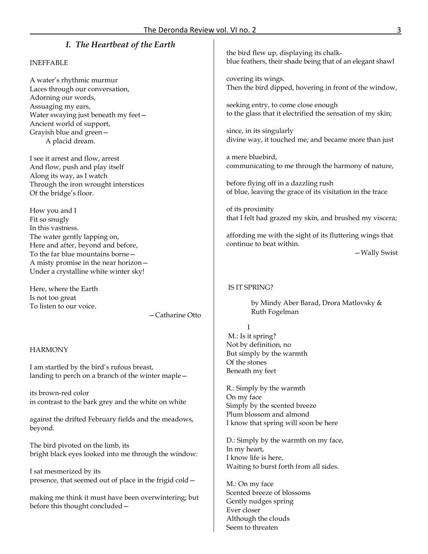# *I. The Heartbeat of the Earth*

## INEFFABLE

A water's rhythmic murmur Laces through our conversation, Adorning our words, Assuaging my ears, Water swaying just beneath my feet— Ancient world of support, Grayish blue and green— A placid dream.

I see it arrest and flow, arrest And flow, push and play itself Along its way, as I watch Through the iron wrought interstices Of the bridge's floor.

How you and I Fit so snugly In this vastness. The water gently lapping on, Here and after, beyond and before, To the far blue mountains borne— A misty promise in the near horizon— Under a crystalline white winter sky!

Here, where the Earth Is not too great To listen to our voice.

—Catharine Otto

## **HARMONY**

I am startled by the bird's rufous breast, landing to perch on a branch of the winter maple—

its brown-red color in contrast to the bark grey and the white on white

against the drifted February fields and the meadows, beyond.

The bird pivoted on the limb, its bright black eyes looked into me through the window:

I sat mesmerized by its presence, that seemed out of place in the frigid cold—

making me think it must have been overwintering; but before this thought concluded—

the bird flew up, displaying its chalkblue feathers, their shade being that of an elegant shawl

covering its wings. Then the bird dipped, hovering in front of the window,

seeking entry, to come close enough to the glass that it electrified the sensation of my skin;

since, in its singularly divine way, it touched me; and became more than just

a mere bluebird, communicating to me through the harmony of nature,

before flying off in a dazzling rush of blue, leaving the grace of its visitation in the trace

of its proximity that I felt had grazed my skin, and brushed my viscera;

affording me with the sight of its fluttering wings that continue to beat within.

—Wally Swist

## IS IT SPRING?

by Mindy Aber Barad, Drora Matlovsky & Ruth Fogelman

#### I

M.: Is it spring? Not by definition, no But simply by the warmth Of the stones Beneath my feet

R.: Simply by the warmth On my face Simply by the scented breeze Plum blossom and almond I know that spring will soon be here

D.: Simply by the warmth on my face, In my heart, I know life is here, Waiting to burst forth from all sides.

M.: On my face Scented breeze of blossoms Gently nudges spring Ever closer Although the clouds Seem to threaten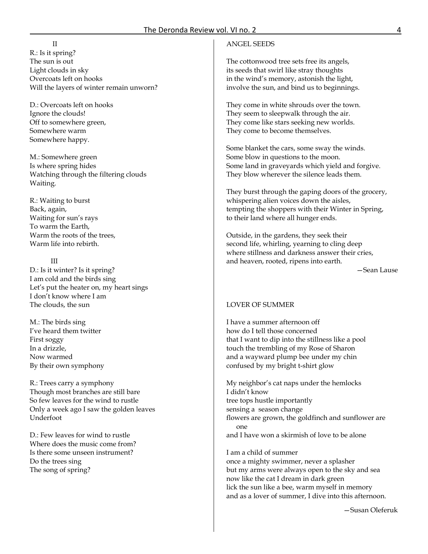#### II

R.: Is it spring? The sun is out Light clouds in sky Overcoats left on hooks Will the layers of winter remain unworn?

D.: Overcoats left on hooks Ignore the clouds! Off to somewhere green, Somewhere warm Somewhere happy.

M.: Somewhere green Is where spring hides Watching through the filtering clouds Waiting.

R.: Waiting to burst Back, again, Waiting for sun's rays To warm the Earth, Warm the roots of the trees, Warm life into rebirth.

#### III

D.: Is it winter? Is it spring? I am cold and the birds sing Let's put the heater on, my heart sings I don't know where I am The clouds, the sun

M.: The birds sing I've heard them twitter First soggy In a drizzle, Now warmed By their own symphony

R.: Trees carry a symphony Though most branches are still bare So few leaves for the wind to rustle Only a week ago I saw the golden leaves Underfoot

D.: Few leaves for wind to rustle Where does the music come from? Is there some unseen instrument? Do the trees sing The song of spring?

## ANGEL SEEDS

The cottonwood tree sets free its angels, its seeds that swirl like stray thoughts in the wind's memory, astonish the light, involve the sun, and bind us to beginnings.

They come in white shrouds over the town. They seem to sleepwalk through the air. They come like stars seeking new worlds. They come to become themselves.

Some blanket the cars, some sway the winds. Some blow in questions to the moon. Some land in graveyards which yield and forgive. They blow wherever the silence leads them.

They burst through the gaping doors of the grocery, whispering alien voices down the aisles, tempting the shoppers with their Winter in Spring, to their land where all hunger ends.

Outside, in the gardens, they seek their second life, whirling, yearning to cling deep where stillness and darkness answer their cries, and heaven, rooted, ripens into earth.

—Sean Lause

## LOVER OF SUMMER

I have a summer afternoon off how do I tell those concerned that I want to dip into the stillness like a pool touch the trembling of my Rose of Sharon and a wayward plump bee under my chin confused by my bright t-shirt glow

My neighbor's cat naps under the hemlocks I didn't know tree tops hustle importantly sensing a season change flowers are grown, the goldfinch and sunflower are one and I have won a skirmish of love to be alone

I am a child of summer once a mighty swimmer, never a splasher but my arms were always open to the sky and sea now like the cat I dream in dark green lick the sun like a bee, warm myself in memory and as a lover of summer, I dive into this afternoon.

—Susan Oleferuk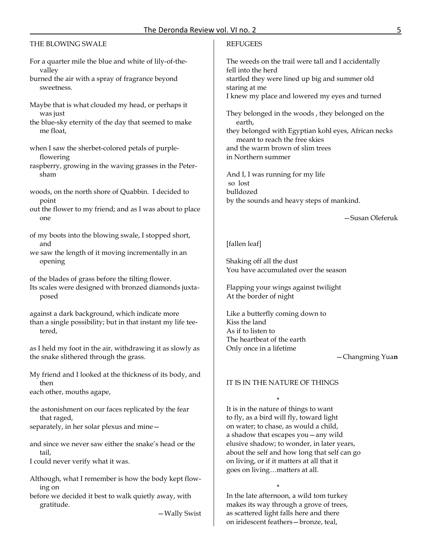# THE BLOWING SWALE

- For a quarter mile the blue and white of lily-of-thevalley
- burned the air with a spray of fragrance beyond sweetness.
- Maybe that is what clouded my head, or perhaps it was just
- the blue-sky eternity of the day that seemed to make me float,
- when I saw the sherbet-colored petals of purpleflowering
- raspberry, growing in the waving grasses in the Petersham
- woods, on the north shore of Quabbin. I decided to point
- out the flower to my friend; and as I was about to place one
- of my boots into the blowing swale, I stopped short, and
- we saw the length of it moving incrementally in an opening

of the blades of grass before the tilting flower.

Its scales were designed with bronzed diamonds juxtaposed

against a dark background, which indicate more than a single possibility; but in that instant my life teetered,

as I held my foot in the air, withdrawing it as slowly as the snake slithered through the grass.

My friend and I looked at the thickness of its body, and then

each other, mouths agape,

- the astonishment on our faces replicated by the fear that raged,
- separately, in her solar plexus and mine—

and since we never saw either the snake's head or the tail,

- I could never verify what it was.
- Although, what I remember is how the body kept flowing on

before we decided it best to walk quietly away, with gratitude.

—Wally Swist

# **REFUGEES**

The weeds on the trail were tall and I accidentally fell into the herd startled they were lined up big and summer old staring at me I knew my place and lowered my eyes and turned

They belonged in the woods , they belonged on the earth, they belonged with Egyptian kohl eyes, African necks meant to reach the free skies and the warm brown of slim trees

in Northern summer

And I, I was running for my life so lost bulldozed by the sounds and heavy steps of mankind.

# —Susan Oleferuk

## [fallen leaf]

Shaking off all the dust You have accumulated over the season

Flapping your wings against twilight At the border of night

Like a butterfly coming down to Kiss the land As if to listen to The heartbeat of the earth Only once in a lifetime

# —Changming Yua**n**

## IT IS IN THE NATURE OF THINGS

\*

It is in the nature of things to want to fly, as a bird will fly, toward light on water; to chase, as would a child, a shadow that escapes you—any wild elusive shadow; to wonder, in later years, about the self and how long that self can go on living, or if it matters at all that it goes on living…matters at all.

\* In the late afternoon, a wild tom turkey makes its way through a grove of trees, as scattered light falls here and there on iridescent feathers—bronze, teal,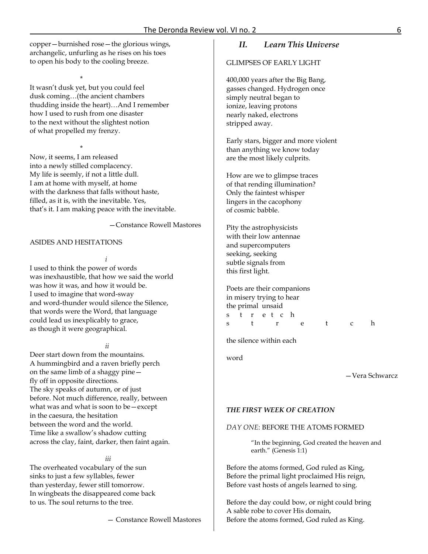copper—burnished rose—the glorious wings, archangelic, unfurling as he rises on his toes to open his body to the cooling breeze.

\* It wasn't dusk yet, but you could feel dusk coming…(the ancient chambers thudding inside the heart)…And I remember how I used to rush from one disaster to the next without the slightest notion of what propelled my frenzy.

\* Now, it seems, I am released into a newly stilled complacency. My life is seemly, if not a little dull. I am at home with myself, at home with the darkness that falls without haste, filled, as it is, with the inevitable. Yes, that's it. I am making peace with the inevitable.

—Constance Rowell Mastores

## ASIDES AND HESITATIONS

*i*

I used to think the power of words was inexhaustible, that how we said the world was how it was, and how it would be. I used to imagine that word-sway and word-thunder would silence the Silence, that words were the Word, that language could lead us inexplicably to grace, as though it were geographical.

*ii*

Deer start down from the mountains. A hummingbird and a raven briefly perch on the same limb of a shaggy pine fly off in opposite directions. The sky speaks of autumn, or of just before. Not much difference, really, between what was and what is soon to be—except in the caesura, the hesitation between the word and the world. Time like a swallow's shadow cutting across the clay, faint, darker, then faint again.

#### *iii*

The overheated vocabulary of the sun sinks to just a few syllables, fewer than yesterday, fewer still tomorrow. In wingbeats the disappeared come back to us. The soul returns to the tree.

— Constance Rowell Mastores

# *II. Learn This Universe*

GLIMPSES OF EARLY LIGHT

400,000 years after the Big Bang, gasses changed. Hydrogen once simply neutral began to ionize, leaving protons nearly naked, electrons stripped away.

Early stars, bigger and more violent than anything we know today are the most likely culprits.

How are we to glimpse traces of that rending illumination? Only the faintest whisper lingers in the cacophony of cosmic babble.

Pity the astrophysicists with their low antennae and supercomputers seeking, seeking subtle signals from this first light.

Poets are their companions in misery trying to hear the primal unsaid s t r e t c h s t r e t c h

the silence within each

word

—Vera Schwarcz

#### *THE FIRST WEEK OF CREATION*

## *DAY ONE*: BEFORE THE ATOMS FORMED

"In the beginning, God created the heaven and earth." (Genesis 1:1)

Before the atoms formed, God ruled as King, Before the primal light proclaimed His reign, Before vast hosts of angels learned to sing.

Before the day could bow, or night could bring A sable robe to cover His domain, Before the atoms formed, God ruled as King.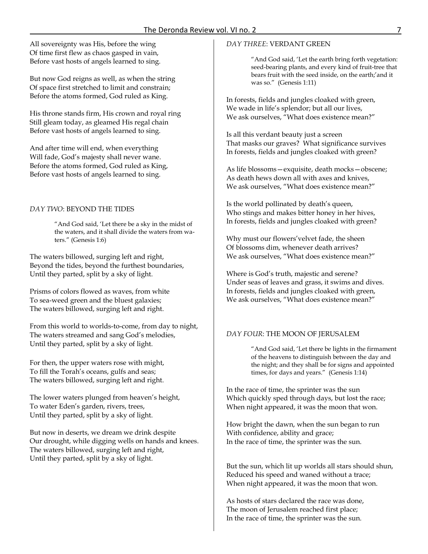All sovereignty was His, before the wing Of time first flew as chaos gasped in vain, Before vast hosts of angels learned to sing.

But now God reigns as well, as when the string Of space first stretched to limit and constrain; Before the atoms formed, God ruled as King.

His throne stands firm, His crown and royal ring Still gleam today, as gleamed His regal chain Before vast hosts of angels learned to sing.

And after time will end, when everything Will fade, God's majesty shall never wane. Before the atoms formed, God ruled as King, Before vast hosts of angels learned to sing.

# *DAY TWO*: BEYOND THE TIDES

"And God said, 'Let there be a sky in the midst of the waters, and it shall divide the waters from waters." (Genesis 1:6)

The waters billowed, surging left and right, Beyond the tides, beyond the furthest boundaries, Until they parted, split by a sky of light.

Prisms of colors flowed as waves, from white To sea-weed green and the bluest galaxies; The waters billowed, surging left and right.

From this world to worlds-to-come, from day to night, The waters streamed and sang God's melodies, Until they parted, split by a sky of light.

For then, the upper waters rose with might, To fill the Torah's oceans, gulfs and seas; The waters billowed, surging left and right.

The lower waters plunged from heaven's height, To water Eden's garden, rivers, trees, Until they parted, split by a sky of light.

But now in deserts, we dream we drink despite Our drought, while digging wells on hands and knees. The waters billowed, surging left and right, Until they parted, split by a sky of light.

# *DAY THREE*: VERDANT GREEN

"And God said, 'Let the earth bring forth vegetation: seed-bearing plants, and every kind of fruit-tree that bears fruit with the seed inside, on the earth;'and it was so." (Genesis 1:11)

In forests, fields and jungles cloaked with green, We wade in life's splendor; but all our lives, We ask ourselves, "What does existence mean?"

Is all this verdant beauty just a screen That masks our graves? What significance survives In forests, fields and jungles cloaked with green?

As life blossoms—exquisite, death mocks—obscene; As death hews down all with axes and knives, We ask ourselves, "What does existence mean?"

Is the world pollinated by death's queen, Who stings and makes bitter honey in her hives, In forests, fields and jungles cloaked with green?

Why must our flowers'velvet fade, the sheen Of blossoms dim, whenever death arrives? We ask ourselves, "What does existence mean?"

Where is God's truth, majestic and serene? Under seas of leaves and grass, it swims and dives. In forests, fields and jungles cloaked with green, We ask ourselves, "What does existence mean?"

# *DAY FOUR*: THE MOON OF JERUSALEM

"And God said, 'Let there be lights in the firmament of the heavens to distinguish between the day and the night; and they shall be for signs and appointed times, for days and years." (Genesis 1:14)

In the race of time, the sprinter was the sun Which quickly sped through days, but lost the race; When night appeared, it was the moon that won.

How bright the dawn, when the sun began to run With confidence, ability and grace; In the race of time, the sprinter was the sun.

But the sun, which lit up worlds all stars should shun, Reduced his speed and waned without a trace; When night appeared, it was the moon that won.

As hosts of stars declared the race was done, The moon of Jerusalem reached first place; In the race of time, the sprinter was the sun.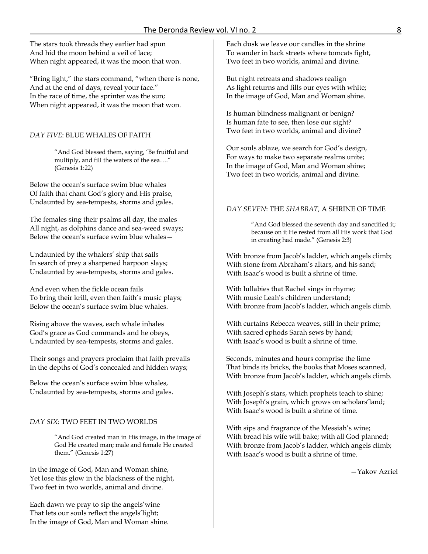The stars took threads they earlier had spun And hid the moon behind a veil of lace; When night appeared, it was the moon that won.

"Bring light," the stars command, "when there is none, And at the end of days, reveal your face." In the race of time, the sprinter was the sun; When night appeared, it was the moon that won.

# *DAY FIVE*: BLUE WHALES OF FAITH

"And God blessed them, saying, 'Be fruitful and multiply, and fill the waters of the sea…." (Genesis 1:22)

Below the ocean's surface swim blue whales Of faith that chant God's glory and His praise, Undaunted by sea-tempests, storms and gales.

The females sing their psalms all day, the males All night, as dolphins dance and sea-weed sways; Below the ocean's surface swim blue whales—

Undaunted by the whalers' ship that sails In search of prey a sharpened harpoon slays; Undaunted by sea-tempests, storms and gales.

And even when the fickle ocean fails To bring their krill, even then faith's music plays; Below the ocean's surface swim blue whales.

Rising above the waves, each whale inhales God's grace as God commands and he obeys, Undaunted by sea-tempests, storms and gales.

Their songs and prayers proclaim that faith prevails In the depths of God's concealed and hidden ways;

Below the ocean's surface swim blue whales, Undaunted by sea-tempests, storms and gales.

# *DAY SIX*: TWO FEET IN TWO WORLDS

"And God created man in His image, in the image of God He created man; male and female He created them." (Genesis 1:27)

In the image of God, Man and Woman shine, Yet lose this glow in the blackness of the night, Two feet in two worlds, animal and divine.

Each dawn we pray to sip the angels'wine That lets our souls reflect the angels'light; In the image of God, Man and Woman shine. Each dusk we leave our candles in the shrine To wander in back streets where tomcats fight, Two feet in two worlds, animal and divine.

But night retreats and shadows realign As light returns and fills our eyes with white; In the image of God, Man and Woman shine.

Is human blindness malignant or benign? Is human fate to see, then lose our sight? Two feet in two worlds, animal and divine?

Our souls ablaze, we search for God's design, For ways to make two separate realms unite; In the image of God, Man and Woman shine; Two feet in two worlds, animal and divine.

# *DAY SEVEN*: THE *SHABBAT,* A SHRINE OF TIME

"And God blessed the seventh day and sanctified it; because on it He rested from all His work that God in creating had made." (Genesis 2:3)

With bronze from Jacob's ladder, which angels climb; With stone from Abraham's altars, and his sand; With Isaac's wood is built a shrine of time.

With lullabies that Rachel sings in rhyme; With music Leah's children understand; With bronze from Jacob's ladder, which angels climb.

With curtains Rebecca weaves, still in their prime; With sacred ephods Sarah sews by hand; With Isaac's wood is built a shrine of time.

Seconds, minutes and hours comprise the lime That binds its bricks, the books that Moses scanned, With bronze from Jacob's ladder, which angels climb.

With Joseph's stars, which prophets teach to shine; With Joseph's grain, which grows on scholars'land; With Isaac's wood is built a shrine of time.

With sips and fragrance of the Messiah's wine; With bread his wife will bake; with all God planned; With bronze from Jacob's ladder, which angels climb; With Isaac's wood is built a shrine of time.

—Yakov Azriel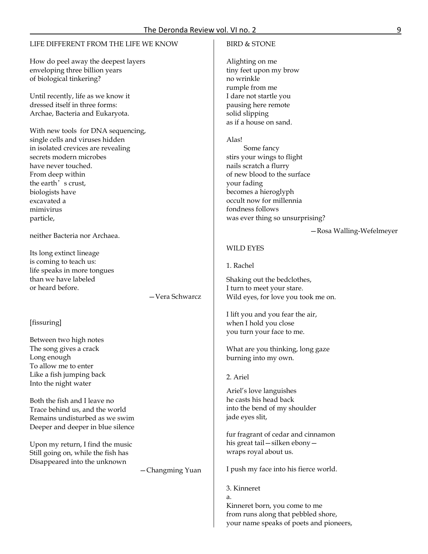## LIFE DIFFERENT FROM THE LIFE WE KNOW

How do peel away the deepest layers enveloping three billion years of biological tinkering?

Until recently, life as we know it dressed itself in three forms: Archae, Bacteria and Eukaryota.

With new tools for DNA sequencing, single cells and viruses hidden in isolated crevices are revealing secrets modern microbes have never touched. From deep within the earth's crust, biologists have excavated a mimivirus particle,

neither Bacteria nor Archaea.

Its long extinct lineage is coming to teach us: life speaks in more tongues than we have labeled or heard before.

—Vera Schwarcz

#### [fissuring]

Between two high notes The song gives a crack Long enough To allow me to enter Like a fish jumping back Into the night water

Both the fish and I leave no Trace behind us, and the world Remains undisturbed as we swim Deeper and deeper in blue silence

Upon my return, I find the music Still going on, while the fish has Disappeared into the unknown

—Changming Yuan

## BIRD & STONE

Alighting on me tiny feet upon my brow no wrinkle rumple from me I dare not startle you pausing here remote solid slipping as if a house on sand.

Alas!

 Some fancy stirs your wings to flight nails scratch a flurry of new blood to the surface your fading becomes a hieroglyph occult now for millennia fondness follows was ever thing so unsurprising?

—Rosa Walling-Wefelmeyer

#### WILD EYES

1. Rachel

Shaking out the bedclothes, I turn to meet your stare. Wild eyes, for love you took me on.

I lift you and you fear the air, when I hold you close you turn your face to me.

What are you thinking, long gaze burning into my own.

2. Ariel

Ariel's love languishes he casts his head back into the bend of my shoulder jade eyes slit,

fur fragrant of cedar and cinnamon his great tail—silken ebony wraps royal about us.

I push my face into his fierce world.

3. Kinneret a. Kinneret born, you come to me from runs along that pebbled shore, your name speaks of poets and pioneers,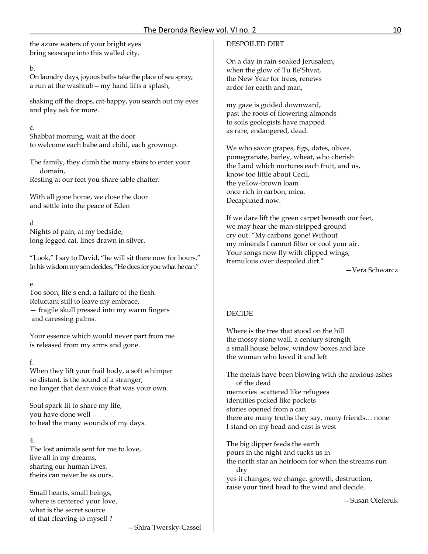the azure waters of your bright eyes bring seascape into this walled city.

# b.

On laundry days, joyous baths take the place of sea spray, a run at the washtub—my hand lifts a splash,

shaking off the drops, cat-happy, you search out my eyes and play ask for more.

# c.

Shabbat morning, wait at the door to welcome each babe and child, each grownup.

The family, they climb the many stairs to enter your domain,

Resting at our feet you share table chatter.

With all gone home, we close the door and settle into the peace of Eden

# d.

Nights of pain, at my bedside, long legged cat, lines drawn in silver.

"Look," I say to David, "he will sit there now for hours." In his wisdom my son decides, "He does for you what he can."

# e.

Too soon, life's end, a failure of the flesh. Reluctant still to leave my embrace, — fragile skull pressed into my warm fingers and caressing palms.

Your essence which would never part from me is released from my arms and gone.

# f.

When they lift your frail body, a soft whimper so distant, is the sound of a stranger, no longer that dear voice that was your own.

Soul spark lit to share my life, you have done well to heal the many wounds of my days.

# 4.

The lost animals sent for me to love, live all in my dreams, sharing our human lives, theirs can never be as ours.

Small hearts, small beings, where is centered your love, what is the secret source of that cleaving to myself ?

# DESPOILED DIRT

On a day in rain-soaked Jerusalem, when the glow of Tu Be'Shvat, the New Year for trees, renews ardor for earth and man,

my gaze is guided downward, past the roots of flowering almonds to soils geologists have mapped as rare, endangered, dead.

We who savor grapes, figs, dates, olives, pomegranate, barley, wheat, who cherish the Land which nurtures each fruit, and us, know too little about Cecil, the yellow-brown loam once rich in carbon, mica. Decapitated now.

If we dare lift the green carpet beneath our feet, we may hear the man-stripped ground cry out: "My carbons gone! Without my minerals I cannot filter or cool your air. Your songs now fly with clipped wings, tremulous over despoiled dirt."

—Vera Schwarcz

# DECIDE

Where is the tree that stood on the hill the mossy stone wall, a century strength a small house below, window boxes and lace the woman who loved it and left

The metals have been blowing with the anxious ashes of the dead memories scattered like refugees identities picked like pockets stories opened from a can there are many truths they say, many friends… none I stand on my head and east is west

The big dipper feeds the earth pours in the night and tucks us in the north star an heirloom for when the streams run dry yes it changes, we change, growth, destruction, raise your tired head to the wind and decide.

—Susan Oleferuk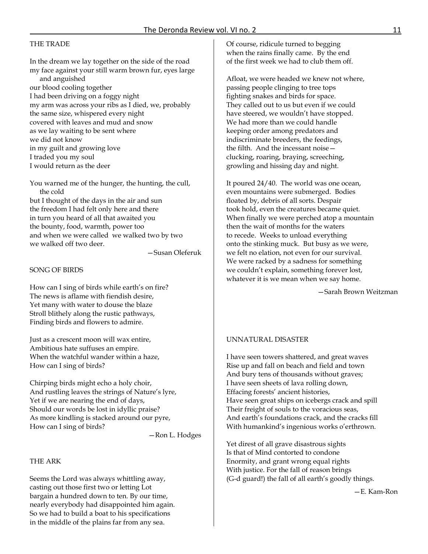## THE TRADE

In the dream we lay together on the side of the road my face against your still warm brown fur, eyes large and anguished our blood cooling together I had been driving on a foggy night my arm was across your ribs as I died, we, probably the same size, whispered every night covered with leaves and mud and snow as we lay waiting to be sent where we did not know in my guilt and growing love I traded you my soul I would return as the deer

You warned me of the hunger, the hunting, the cull, the cold

but I thought of the days in the air and sun the freedom I had felt only here and there in turn you heard of all that awaited you the bounty, food, warmth, power too and when we were called we walked two by two we walked off two deer.

—Susan Oleferuk

## SONG OF BIRDS

How can I sing of birds while earth's on fire? The news is aflame with fiendish desire, Yet many with water to douse the blaze Stroll blithely along the rustic pathways, Finding birds and flowers to admire.

Just as a crescent moon will wax entire, Ambitious hate suffuses an empire. When the watchful wander within a haze, How can I sing of birds?

Chirping birds might echo a holy choir, And rustling leaves the strings of Nature's lyre, Yet if we are nearing the end of days, Should our words be lost in idyllic praise? As more kindling is stacked around our pyre, How can I sing of birds?

—Ron L. Hodges

#### THE ARK

Seems the Lord was always whittling away, casting out those first two or letting Lot bargain a hundred down to ten. By our time, nearly everybody had disappointed him again. So we had to build a boat to his specifications in the middle of the plains far from any sea.

Of course, ridicule turned to begging when the rains finally came. By the end of the first week we had to club them off.

Afloat, we were headed we knew not where, passing people clinging to tree tops fighting snakes and birds for space. They called out to us but even if we could have steered, we wouldn't have stopped. We had more than we could handle keeping order among predators and indiscriminate breeders, the feedings, the filth. And the incessant noise clucking, roaring, braying, screeching, growling and hissing day and night.

It poured 24/40. The world was one ocean, even mountains were submerged. Bodies floated by, debris of all sorts. Despair took hold, even the creatures became quiet. When finally we were perched atop a mountain then the wait of months for the waters to recede. Weeks to unload everything onto the stinking muck. But busy as we were, we felt no elation, not even for our survival. We were racked by a sadness for something we couldn't explain, something forever lost, whatever it is we mean when we say home.

—Sarah Brown Weitzman

#### UNNATURAL DISASTER

I have seen towers shattered, and great waves Rise up and fall on beach and field and town And bury tens of thousands without graves; I have seen sheets of lava rolling down, Effacing forests' ancient histories, Have seen great ships on icebergs crack and spill Their freight of souls to the voracious seas, And earth's foundations crack, and the cracks fill With humankind's ingenious works o'erthrown.

Yet direst of all grave disastrous sights Is that of Mind contorted to condone Enormity, and grant wrong equal rights With justice. For the fall of reason brings (G-d guard!) the fall of all earth's goodly things.

—E. Kam-Ron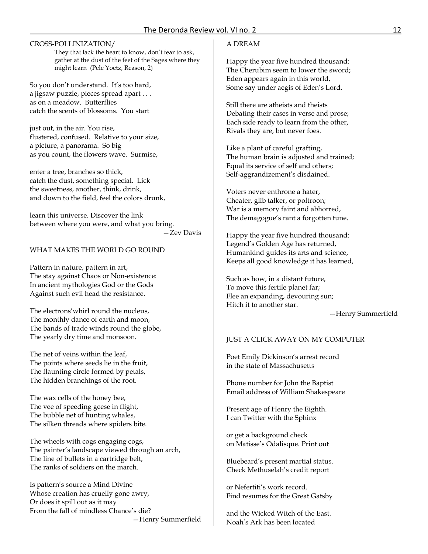# CROSS-POLLINIZATION/

They that lack the heart to know, don't fear to ask, gather at the dust of the feet of the Sages where they might learn (Pele Yoetz, Reason, 2)

So you don't understand. It's too hard, a jigsaw puzzle, pieces spread apart . . . as on a meadow. Butterflies catch the scents of blossoms. You start

just out, in the air. You rise, flustered, confused. Relative to your size, a picture, a panorama. So big as you count, the flowers wave. Surmise,

enter a tree, branches so thick, catch the dust, something special. Lick the sweetness, another, think, drink, and down to the field, feel the colors drunk,

learn this universe. Discover the link between where you were, and what you bring.

—Zev Davis

# WHAT MAKES THE WORLD GO ROUND

Pattern in nature, pattern in art, The stay against Chaos or Non-existence: In ancient mythologies God or the Gods Against such evil head the resistance.

The electrons'whirl round the nucleus, The monthly dance of earth and moon, The bands of trade winds round the globe, The yearly dry time and monsoon.

The net of veins within the leaf, The points where seeds lie in the fruit, The flaunting circle formed by petals, The hidden branchings of the root.

The wax cells of the honey bee, The vee of speeding geese in flight, The bubble net of hunting whales, The silken threads where spiders bite.

The wheels with cogs engaging cogs, The painter's landscape viewed through an arch, The line of bullets in a cartridge belt, The ranks of soldiers on the march.

Is pattern's source a Mind Divine Whose creation has cruelly gone awry, Or does it spill out as it may From the fall of mindless Chance's die? —Henry Summerfield

# A DREAM

Happy the year five hundred thousand: The Cherubim seem to lower the sword; Eden appears again in this world, Some say under aegis of Eden's Lord.

Still there are atheists and theists Debating their cases in verse and prose; Each side ready to learn from the other, Rivals they are, but never foes.

Like a plant of careful grafting, The human brain is adjusted and trained; Equal its service of self and others; Self-aggrandizement's disdained.

Voters never enthrone a hater, Cheater, glib talker, or poltroon; War is a memory faint and abhorred, The demagogue's rant a forgotten tune.

Happy the year five hundred thousand: Legend's Golden Age has returned, Humankind guides its arts and science, Keeps all good knowledge it has learned,

Such as how, in a distant future, To move this fertile planet far; Flee an expanding, devouring sun; Hitch it to another star.

—Henry Summerfield

## JUST A CLICK AWAY ON MY COMPUTER

Poet Emily Dickinson's arrest record in the state of Massachusetts

Phone number for John the Baptist Email address of William Shakespeare

Present age of Henry the Eighth. I can Twitter with the Sphinx

or get a background check on Matisse's Odalisque. Print out

Bluebeard's present martial status. Check Methuselah's credit report

or Nefertiti's work record. Find resumes for the Great Gatsby

and the Wicked Witch of the East. Noah's Ark has been located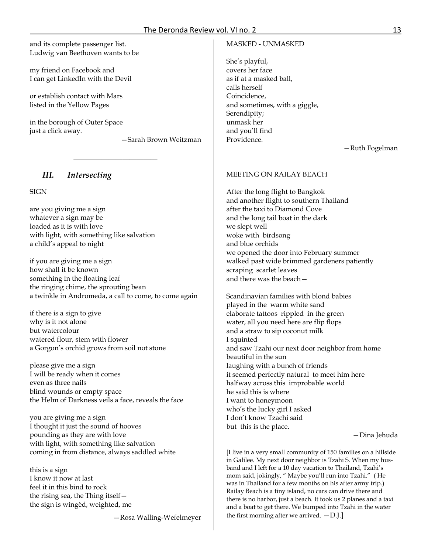and its complete passenger list. Ludwig van Beethoven wants to be

my friend on Facebook and I can get LinkedIn with the Devil

or establish contact with Mars listed in the Yellow Pages

in the borough of Outer Space just a click away.

—Sarah Brown Weitzman

# *III. Intersecting*

SIGN

are you giving me a sign whatever a sign may be loaded as it is with love with light, with something like salvation a child's appeal to night

if you are giving me a sign how shall it be known something in the floating leaf the ringing chime, the sprouting bean a twinkle in Andromeda, a call to come, to come again

 $\_$ 

if there is a sign to give why is it not alone but watercolour watered flour, stem with flower a Gorgon's orchid grows from soil not stone

please give me a sign I will be ready when it comes even as three nails blind wounds or empty space the Helm of Darkness veils a face, reveals the face

you are giving me a sign I thought it just the sound of hooves pounding as they are with love with light, with something like salvation coming in from distance, always saddled white

this is a sign I know it now at last feel it in this bind to rock the rising sea, the Thing itself the sign is wingèd, weighted, me

—Rosa Walling-Wefelmeyer

# MASKED - UNMASKED

She's playful, covers her face as if at a masked ball, calls herself Coincidence, and sometimes, with a giggle, Serendipity; unmask her and you'll find Providence.

—Ruth Fogelman

# MEETING ON RAILAY BEACH

After the long flight to Bangkok and another flight to southern Thailand after the taxi to Diamond Cove and the long tail boat in the dark we slept well woke with birdsong and blue orchids we opened the door into February summer walked past wide brimmed gardeners patiently scraping scarlet leaves and there was the beach—

Scandinavian families with blond babies played in the warm white sand elaborate tattoos rippled in the green water, all you need here are flip flops and a straw to sip coconut milk I squinted and saw Tzahi our next door neighbor from home beautiful in the sun laughing with a bunch of friends it seemed perfectly natural to meet him here halfway across this improbable world he said this is where I want to honeymoon who's the lucky girl I asked I don't know Tzachi said but this is the place.

—Dina Jehuda

[I live in a very small community of 150 families on a hillside in Galilee. My next door neighbor is Tzahi S. When my husband and I left for a 10 day vacation to Thailand, Tzahi's mom said, jokingly, " Maybe you'll run into Tzahi." ( He was in Thailand for a few months on his after army trip.) Railay Beach is a tiny island, no cars can drive there and there is no harbor, just a beach. It took us 2 planes and a taxi and a boat to get there. We bumped into Tzahi in the water the first morning after we arrived.  $-D$ .].]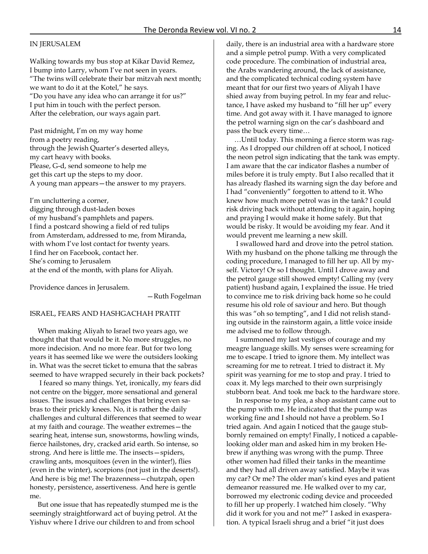## IN JERUSALEM

Walking towards my bus stop at Kikar David Remez, I bump into Larry, whom I've not seen in years. "The twins will celebrate their bar mitzvah next month; we want to do it at the Kotel," he says. "Do you have any idea who can arrange it for us?" I put him in touch with the perfect person. After the celebration, our ways again part.

Past midnight, I'm on my way home from a poetry reading, through the Jewish Quarter's deserted alleys, my cart heavy with books. Please, G-d, send someone to help me get this cart up the steps to my door. A young man appears—the answer to my prayers.

I'm uncluttering a corner, digging through dust-laden boxes of my husband's pamphlets and papers. I find a postcard showing a field of red tulips from Amsterdam, addressed to me, from Miranda, with whom I've lost contact for twenty years. I find her on Facebook, contact her. She's coming to Jerusalem at the end of the month, with plans for Aliyah.

Providence dances in Jerusalem.

—Ruth Fogelman

#### ISRAEL, FEARS AND HASHGACHAH PRATIT

When making Aliyah to Israel two years ago, we thought that that would be it. No more struggles, no more indecision. And no more fear. But for two long years it has seemed like we were the outsiders looking in. What was the secret ticket to emuna that the sabras seemed to have wrapped securely in their back pockets?

I feared so many things. Yet, ironically, my fears did not centre on the bigger, more sensational and general issues. The issues and challenges that bring even sabras to their prickly knees. No, it is rather the daily challenges and cultural differences that seemed to wear at my faith and courage. The weather extremes—the searing heat, intense sun, snowstorms, howling winds, fierce hailstones, dry, cracked arid earth. So intense, so strong. And here is little me. The insects—spiders, crawling ants, mosquitoes (even in the winter!), flies (even in the winter), scorpions (not just in the deserts!). And here is big me! The brazenness—chutzpah, open honesty, persistence, assertiveness. And here is gentle me.

But one issue that has repeatedly stumped me is the seemingly straightforward act of buying petrol. At the Yishuv where I drive our children to and from school

daily, there is an industrial area with a hardware store and a simple petrol pump. With a very complicated code procedure. The combination of industrial area, the Arabs wandering around, the lack of assistance, and the complicated technical coding system have meant that for our first two years of Aliyah I have shied away from buying petrol. In my fear and reluctance, I have asked my husband to "fill her up" every time. And got away with it. I have managed to ignore the petrol warning sign on the car's dashboard and pass the buck every time…

…Until today. This morning a fierce storm was raging. As I dropped our children off at school, I noticed the neon petrol sign indicating that the tank was empty. I am aware that the car indicator flashes a number of miles before it is truly empty. But I also recalled that it has already flashed its warning sign the day before and I had "conveniently" forgotten to attend to it. Who knew how much more petrol was in the tank? I could risk driving back without attending to it again, hoping and praying I would make it home safely. But that would be risky. It would be avoiding my fear. And it would prevent me learning a new skill.

I swallowed hard and drove into the petrol station. With my husband on the phone talking me through the coding procedure, I managed to fill her up. All by myself. Victory! Or so I thought. Until I drove away and the petrol gauge still showed empty! Calling my (very patient) husband again, I explained the issue. He tried to convince me to risk driving back home so he could resume his old role of saviour and hero. But though this was "oh so tempting", and I did not relish standing outside in the rainstorm again, a little voice inside me advised me to follow through.

I summoned my last vestiges of courage and my meagre language skills. My senses were screaming for me to escape. I tried to ignore them. My intellect was screaming for me to retreat. I tried to distract it. My spirit was yearning for me to stop and pray. I tried to coax it. My legs marched to their own surprisingly stubborn beat. And took me back to the hardware store.

In response to my plea, a shop assistant came out to the pump with me. He indicated that the pump was working fine and I should not have a problem. So I tried again. And again I noticed that the gauge stubbornly remained on empty! Finally, I noticed a capablelooking older man and asked him in my broken Hebrew if anything was wrong with the pump. Three other women had filled their tanks in the meantime and they had all driven away satisfied. Maybe it was my car? Or me? The older man's kind eyes and patient demeanor reassured me. He walked over to my car, borrowed my electronic coding device and proceeded to fill her up properly. I watched him closely. "Why did it work for you and not me?" I asked in exasperation. A typical Israeli shrug and a brief "it just does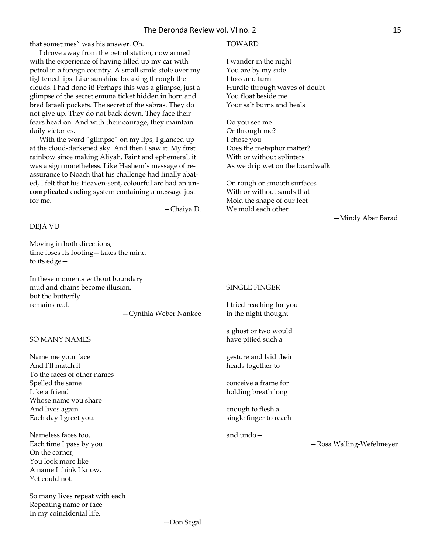that sometimes" was his answer. Oh.

I drove away from the petrol station, now armed with the experience of having filled up my car with petrol in a foreign country. A small smile stole over my tightened lips. Like sunshine breaking through the clouds. I had done it! Perhaps this was a glimpse, just a glimpse of the secret emuna ticket hidden in born and bred Israeli pockets. The secret of the sabras. They do not give up. They do not back down. They face their fears head on. And with their courage, they maintain daily victories.

With the word "glimpse" on my lips, I glanced up at the cloud-darkened sky. And then I saw it. My first rainbow since making Aliyah. Faint and ephemeral, it was a sign nonetheless. Like Hashem's message of reassurance to Noach that his challenge had finally abated, I felt that his Heaven-sent, colourful arc had an **uncomplicated** coding system containing a message just for me.

—Chaiya D.

## DÉJÀ VU

Moving in both directions, time loses its footing—takes the mind to its edge—

In these moments without boundary mud and chains become illusion, but the butterfly remains real.

—Cynthia Weber Nankee

#### SO MANY NAMES

Name me your face And I'll match it To the faces of other names Spelled the same Like a friend Whose name you share And lives again Each day I greet you.

Nameless faces too, Each time I pass by you On the corner, You look more like A name I think I know, Yet could not.

So many lives repeat with each Repeating name or face In my coincidental life.

## TOWARD

I wander in the night You are by my side I toss and turn Hurdle through waves of doubt You float beside me Your salt burns and heals

Do you see me Or through me? I chose you Does the metaphor matter? With or without splinters As we drip wet on the boardwalk

On rough or smooth surfaces With or without sands that Mold the shape of our feet We mold each other

—Mindy Aber Barad

#### SINGLE FINGER

I tried reaching for you in the night thought

a ghost or two would have pitied such a

gesture and laid their heads together to

conceive a frame for holding breath long

enough to flesh a single finger to reach

and undo—

—Rosa Walling-Wefelmeyer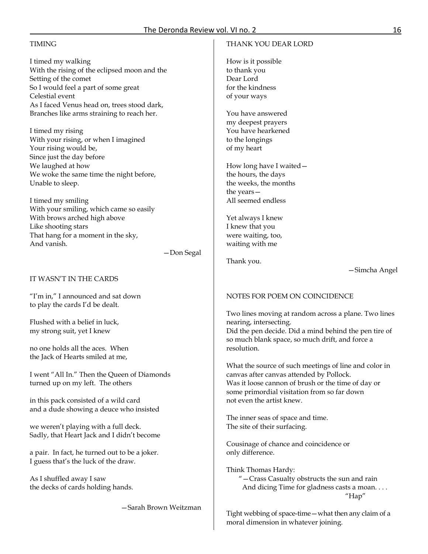# The Deronda Review vol. VI no. 2 16

# TIMING

I timed my walking With the rising of the eclipsed moon and the Setting of the comet So I would feel a part of some great Celestial event As I faced Venus head on, trees stood dark, Branches like arms straining to reach her.

I timed my rising With your rising, or when I imagined Your rising would be, Since just the day before We laughed at how We woke the same time the night before, Unable to sleep.

I timed my smiling With your smiling, which came so easily With brows arched high above Like shooting stars That hang for a moment in the sky, And vanish.

—Don Segal

IT WASN'T IN THE CARDS

"I'm in," I announced and sat down to play the cards I'd be dealt.

Flushed with a belief in luck, my strong suit, yet I knew

no one holds all the aces. When the Jack of Hearts smiled at me,

I went "All In." Then the Queen of Diamonds turned up on my left. The others

in this pack consisted of a wild card and a dude showing a deuce who insisted

we weren't playing with a full deck. Sadly, that Heart Jack and I didn't become

a pair. In fact, he turned out to be a joker. I guess that's the luck of the draw.

As I shuffled away I saw the decks of cards holding hands.

—Sarah Brown Weitzman

# THANK YOU DEAR LORD

How is it possible to thank you Dear Lord for the kindness of your ways

You have answered my deepest prayers You have hearkened to the longings of my heart

How long have I waited the hours, the days the weeks, the months the years— All seemed endless

Yet always I knew I knew that you were waiting, too, waiting with me

Thank you.

—Simcha Angel

# NOTES FOR POEM ON COINCIDENCE

Two lines moving at random across a plane. Two lines nearing, intersecting. Did the pen decide. Did a mind behind the pen tire of so much blank space, so much drift, and force a resolution.

What the source of such meetings of line and color in canvas after canvas attended by Pollock. Was it loose cannon of brush or the time of day or some primordial visitation from so far down not even the artist knew.

The inner seas of space and time. The site of their surfacing.

Cousinage of chance and coincidence or only difference.

Think Thomas Hardy:

 "—Crass Casualty obstructs the sun and rain And dicing Time for gladness casts a moan.... "Hap"

Tight webbing of space-time—what then any claim of a moral dimension in whatever joining.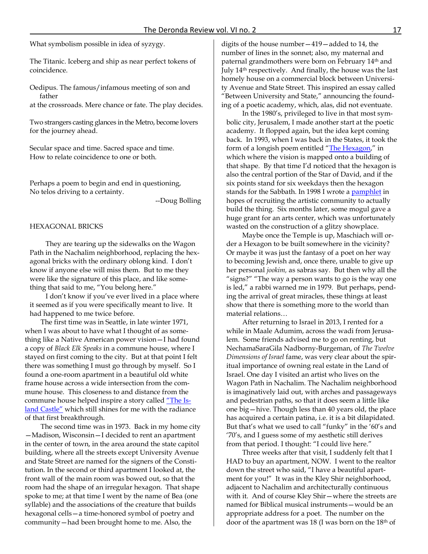What symbolism possible in idea of syzygy.

The Titanic. Iceberg and ship as near perfect tokens of coincidence.

Oedipus. The famous/infamous meeting of son and father

at the crossroads. Mere chance or fate. The play decides.

Two strangers casting glances in the Metro, become lovers for the journey ahead.

Secular space and time. Sacred space and time. How to relate coincidence to one or both.

Perhaps a poem to begin and end in questioning, No telos driving to a certainty.

--Doug Bolling

#### HEXAGONAL BRICKS

They are tearing up the sidewalks on the Wagon Path in the Nachalim neighborhood, replacing the hexagonal bricks with the ordinary oblong kind. I don't know if anyone else will miss them. But to me they were like the signature of this place, and like something that said to me, "You belong here."

I don't know if you've ever lived in a place where it seemed as if you were specifically meant to live. It had happened to me twice before.

The first time was in Seattle, in late winter 1971, when I was about to have what I thought of as something like a Native American power vision—I had found a copy of *Black Elk Speaks* in a commune house, where I stayed on first coming to the city. But at that point I felt there was something I must go through by myself. So I found a one-room apartment in a beautiful old white frame house across a wide intersection from the commune house. This closeness to and distance from the commune house helped inspire a story called ["The Is](http://www.pointandcircumference.com/collect/7.htm.)[land Castle"](http://www.pointandcircumference.com/collect/7.htm.) which still shines for me with the radiance of that first breakthrough.

The second time was in 1973. Back in my home city —Madison, Wisconsin—I decided to rent an apartment in the center of town, in the area around the state capitol building, where all the streets except University Avenue and State Street are named for the signers of the Constitution. In the second or third apartment I looked at, the front wall of the main room was bowed out, so that the room had the shape of an irregular hexagon. That shape spoke to me; at that time I went by the name of Bea (one syllable) and the associations of the creature that builds hexagonal cells—a time-honored symbol of poetry and community—had been brought home to me. Also, the

digits of the house number—419—added to 14, the number of lines in the sonnet; also, my maternal and paternal grandmothers were born on February 14<sup>th</sup> and July 14th respectively. And finally, the house was the last homely house on a commercial block between University Avenue and State Street. This inspired an essay called "Between University and State," announcing the founding of a poetic academy, which, alas, did not eventuate.

In the 1980's, privileged to live in that most symbolic city, Jerusalem, I made another start at the poetic academy. It flopped again, but the idea kept coming back. In 1993, when I was back in the States, it took the form of a longish poem entitled ["The Hexagon,"](http://www.pointandcircumference.com/hexagon/mainright2.htm) in which where the vision is mapped onto a building of that shape. By that time I'd noticed that the hexagon is also the central portion of the Star of David, and if the six points stand for six weekdays then the hexagon stands for the Sabbath. In 1998 I wrote a **pamphlet** in hopes of recruiting the artistic community to actually build the thing. Six months later, some mogul gave a huge grant for an arts center, which was unfortunately wasted on the construction of a glitzy showplace.

Maybe once the Temple is up, Maschiach will order a Hexagon to be built somewhere in the vicinity? Or maybe it was just the fantasy of a poet on her way to becoming Jewish and, once there, unable to give up her personal *jookim,* as sabras say. But then why all the "signs?" "The way a person wants to go is the way one is led," a rabbi warned me in 1979. But perhaps, pending the arrival of great miracles, these things at least show that there is something more to the world than material relations…

After returning to Israel in 2013, I rented for a while in Maale Adumim, across the wadi from Jerusalem. Some friends advised me to go on renting, but NechamaSaraGila Nadborny-Burgeman, of *The Twelve Dimensions of Israel* fame, was very clear about the spiritual importance of owning real estate in the Land of Israel. One day I visited an artist who lives on the Wagon Path in Nachalim. The Nachalim neighborhood is imaginatively laid out, with arches and passageways and pedestrian paths, so that it does seem a little like one big—hive. Though less than 40 years old, the place has acquired a certain patina, i.e. it is a bit dilapidated. But that's what we used to call "funky" in the '60's and '70's, and I guess some of my aesthetic still derives from that period. I thought: "I could live here."

Three weeks after that visit, I suddenly felt that I HAD to buy an apartment, NOW. I went to the realtor down the street who said, "I have a beautiful apartment for you!" It was in the Kley Shir neighborhood, adjacent to Nachalim and architecturally continuous with it. And of course Kley Shir—where the streets are named for Biblical musical instruments—would be an appropriate address for a poet. The number on the door of the apartment was 18 (I was born on the  $18<sup>th</sup>$  of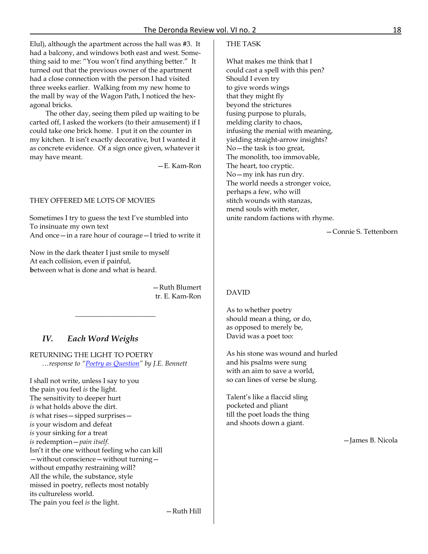Elul), although the apartment across the hall was #3. It had a balcony, and windows both east and west. Something said to me: "You won't find anything better." It turned out that the previous owner of the apartment had a close connection with the person I had visited three weeks earlier. Walking from my new home to the mall by way of the Wagon Path, I noticed the hexagonal bricks.

The other day, seeing them piled up waiting to be carted off, I asked the workers (to their amusement) if I could take one brick home. I put it on the counter in my kitchen. It isn't exactly decorative, but I wanted it as concrete evidence. Of a sign once given, whatever it may have meant.

—E. Kam-Ron

#### THEY OFFERED ME LOTS OF MOVIES

Sometimes I try to guess the text I've stumbled into To insinuate my own text And once—in a rare hour of courage—I tried to write it

Now in the dark theater I just smile to myself At each collision, even if painful, **b**etween what is done and what is heard.

> —Ruth Blumert tr. E. Kam-Ron

> > —Ruth Hill

# *IV. Each Word Weighs*

RETURNING THE LIGHT TO POETRY  *…response to ["Poetry as Question"](http://www.derondareview.org/poetryasquestion.htm) by J.E. Bennett*

\_\_\_\_\_\_\_\_\_\_\_\_\_\_\_\_\_\_\_\_\_\_\_

I shall not write, unless I say to you the pain you feel *is* the light. The sensitivity to deeper hurt *is* what holds above the dirt. *is* what rises—sipped surprises *is* your wisdom and defeat *is* your sinking for a treat *is* redemption—*pain itself*. Isn't it the one without feeling who can kill —without conscience—without turning without empathy restraining will? All the while, the substance, style missed in poetry, reflects most notably its cultureless world. The pain you feel *is* the light.

## THE TASK

What makes me think that I could cast a spell with this pen? Should I even try to give words wings that they might fly beyond the strictures fusing purpose to plurals, melding clarity to chaos, infusing the menial with meaning, yielding straight-arrow insights? No—the task is too great, The monolith, too immovable, The heart, too cryptic. No—my ink has run dry. The world needs a stronger voice, perhaps a few, who will stitch wounds with stanzas, mend souls with meter, unite random factions with rhyme.

—Connie S. Tettenborn

## DAVID

As to whether poetry should mean a thing, or do, as opposed to merely be, David was a poet too:

As his stone was wound and hurled and his psalms were sung with an aim to save a world, so can lines of verse be slung.

Talent's like a flaccid sling pocketed and pliant till the poet loads the thing and shoots down a giant.

—James B. Nicola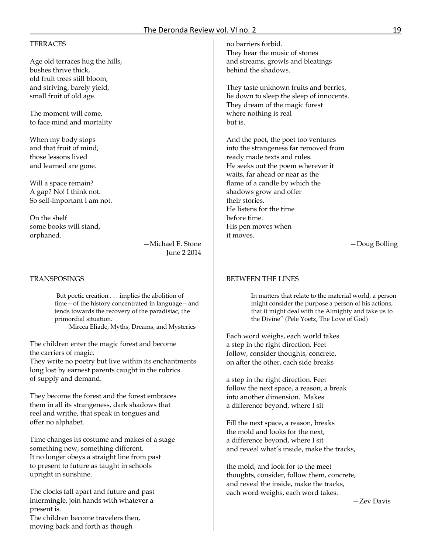# **TERRACES**

Age old terraces hug the hills, bushes thrive thick, old fruit trees still bloom, and striving, barely yield, small fruit of old age.

The moment will come, to face mind and mortality

When my body stops and that fruit of mind, those lessons lived and learned are gone.

Will a space remain? A gap? No! I think not. So self-important I am not.

On the shelf some books will stand, orphaned.

—Michael E. Stone June 2 2014

## **TRANSPOSINGS**

But poetic creation . . . implies the abolition of time—of the history concentrated in language—and tends towards the recovery of the paradisiac, the primordial situation. Mircea Eliade, Myths, Dreams, and Mysteries

The children enter the magic forest and become the carriers of magic.

They write no poetry but live within its enchantments long lost by earnest parents caught in the rubrics of supply and demand.

They become the forest and the forest embraces them in all its strangeness, dark shadows that reel and writhe, that speak in tongues and offer no alphabet.

Time changes its costume and makes of a stage something new, something different. It no longer obeys a straight line from past to present to future as taught in schools upright in sunshine.

The clocks fall apart and future and past intermingle, join hands with whatever a present is.

The children become travelers then, moving back and forth as though

no barriers forbid. They hear the music of stones and streams, growls and bleatings behind the shadows.

They taste unknown fruits and berries, lie down to sleep the sleep of innocents. They dream of the magic forest where nothing is real but is.

And the poet, the poet too ventures into the strangeness far removed from ready made texts and rules. He seeks out the poem wherever it waits, far ahead or near as the flame of a candle by which the shadows grow and offer their stories. He listens for the time before time. His pen moves when it moves.

—Doug Bolling

#### BETWEEN THE LINES

In matters that relate to the material world, a person might consider the purpose a person of his actions, that it might deal with the Almighty and take us to the Divine" (Pele Yoetz, The Love of God)

Each word weighs, each world takes a step in the right direction. Feet follow, consider thoughts, concrete, on after the other, each side breaks

a step in the right direction. Feet follow the next space, a reason, a break into another dimension. Makes a difference beyond, where I sit

Fill the next space, a reason, breaks the mold and looks for the next, a difference beyond, where I sit and reveal what's inside, make the tracks,

the mold, and look for to the meet thoughts, consider, follow them, concrete, and reveal the inside, make the tracks, each word weighs, each word takes.

—Zev Davis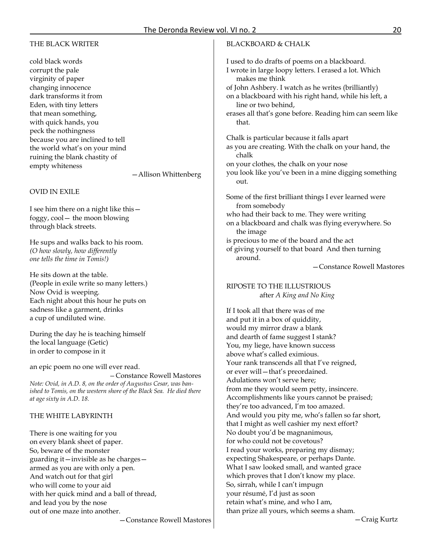# THE BLACK WRITER

cold black words corrupt the pale virginity of paper changing innocence dark transforms it from Eden, with tiny letters that mean something, with quick hands, you peck the nothingness because you are inclined to tell the world what's on your mind ruining the blank chastity of empty whiteness

—Allison Whittenberg

# OVID IN EXILE

I see him there on a night like this foggy, cool— the moon blowing through black streets.

He sups and walks back to his room. *(O how slowly, how differently one tells the time in Tomis!)*

He sits down at the table. (People in exile write so many letters.) Now Ovid is weeping. Each night about this hour he puts on sadness like a garment, drinks a cup of undiluted wine.

During the day he is teaching himself the local language (Getic) in order to compose in it

an epic poem no one will ever read.  *—*Constance Rowell Mastores *Note: Ovid, in A.D. 8, on the order of Augustus Cesar, was banished to Tomis, on the western shore of the Black Sea. He died there at age sixty in A.D. 18.*

# THE WHITE LABYRINTH

There is one waiting for you on every blank sheet of paper. So, beware of the monster guarding it—invisible as he charges armed as you are with only a pen. And watch out for that girl who will come to your aid with her quick mind and a ball of thread, and lead you by the nose out of one maze into another.

—Constance Rowell Mastores

## BLACKBOARD & CHALK

I used to do drafts of poems on a blackboard. I wrote in large loopy letters. I erased a lot. Which makes me think of John Ashbery. I watch as he writes (brilliantly) on a blackboard with his right hand, while his left, a line or two behind, erases all that's gone before. Reading him can seem like that. Chalk is particular because it falls apart as you are creating. With the chalk on your hand, the chalk on your clothes, the chalk on your nose you look like you've been in a mine digging something out. Some of the first brilliant things I ever learned were from somebody who had their back to me. They were writing on a blackboard and chalk was flying everywhere. So the image is precious to me of the board and the act of giving yourself to that board And then turning around. —Constance Rowell Mastores RIPOSTE TO THE ILLUSTRIOUS after *A King and No King* If I took all that there was of me and put it in a box of quiddity, would my mirror draw a blank and dearth of fame suggest I stank? You, my liege, have known success above what's called eximious. Your rank transcends all that I've reigned, or ever will—that's preordained. Adulations won't serve here; from me they would seem petty, insincere. Accomplishments like yours cannot be praised; they're too advanced, I'm too amazed. And would you pity me, who's fallen so far short, that I might as well cashier my next effort? No doubt you'd be magnanimous, for who could not be covetous? I read your works, preparing my dismay; expecting Shakespeare, or perhaps Dante.

What I saw looked small, and wanted grace

which proves that I don't know my place.

So, sirrah, while I can't impugn

your résumé, I'd just as soon retain what's mine, and who I am, than prize all yours, which seems a sham.

—Craig Kurtz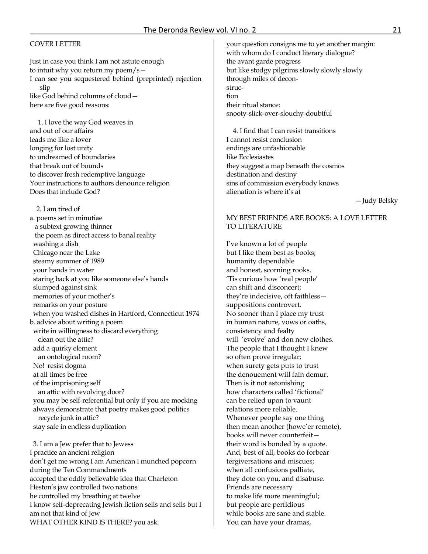## COVER LETTER

Just in case you think I am not astute enough to intuit why you return my poem/s— I can see you sequestered behind (preprinted) rejection slip like God behind columns of cloud here are five good reasons:

1. I love the way God weaves in and out of our affairs leads me like a lover longing for lost unity to undreamed of boundaries that break out of bounds to discover fresh redemptive language Your instructions to authors denounce religion Does that include God?

2. I am tired of a. poems set in minutiae a subtext growing thinner the poem as direct access to banal reality washing a dish Chicago near the Lake steamy summer of 1989 your hands in water staring back at you like someone else's hands slumped against sink memories of your mother's remarks on your posture when you washed dishes in Hartford, Connecticut 1974 b. advice about writing a poem write in willingness to discard everything clean out the attic? add a quirky element an ontological room? No! resist dogma at all times be free of the imprisoning self an attic with revolving door? you may be self-referential but only if you are mocking always demonstrate that poetry makes good politics recycle junk in attic? stay safe in endless duplication

3. I am a Jew prefer that to Jewess I practice an ancient religion don't get me wrong I am American I munched popcorn during the Ten Commandments accepted the oddly believable idea that Charleton Heston's jaw controlled two nations he controlled my breathing at twelve I know self-deprecating Jewish fiction sells and sells but I am not that kind of Jew WHAT OTHER KIND IS THERE? you ask.

your question consigns me to yet another margin: with whom do I conduct literary dialogue? the avant garde progress but like stodgy pilgrims slowly slowly slowly through miles of deconstruction their ritual stance: snooty-slick-over-slouchy-doubtful

4. I find that I can resist transitions I cannot resist conclusion endings are unfashionable like Ecclesiastes they suggest a map beneath the cosmos destination and destiny sins of commission everybody knows alienation is where it's at

—Judy Belsky

## MY BEST FRIENDS ARE BOOKS: A LOVE LETTER TO LITERATURE

I've known a lot of people but I like them best as books; humanity dependable and honest, scorning rooks. 'Tis curious how 'real people' can shift and disconcert; they're indecisive, oft faithless suppositions controvert. No sooner than I place my trust in human nature, vows or oaths, consistency and fealty will 'evolve' and don new clothes. The people that I thought I knew so often prove irregular; when surety gets puts to trust the denouement will fain demur. Then is it not astonishing how characters called 'fictional' can be relied upon to vaunt relations more reliable. Whenever people say one thing then mean another (howe'er remote), books will never counterfeit their word is bonded by a quote. And, best of all, books do forbear tergiversations and miscues; when all confusions palliate, they dote on you, and disabuse. Friends are necessary to make life more meaningful; but people are perfidious while books are sane and stable. You can have your dramas,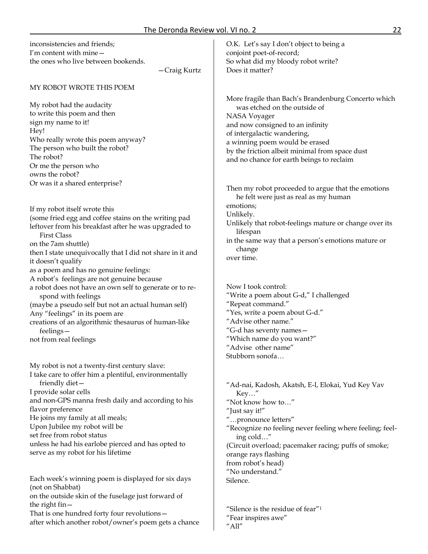| THE DETUNION REVIEW VOIL VITIO. 2                                                                                                                                                                                                                                             |                                                                                                                                                                                                                                                                                                         |
|-------------------------------------------------------------------------------------------------------------------------------------------------------------------------------------------------------------------------------------------------------------------------------|---------------------------------------------------------------------------------------------------------------------------------------------------------------------------------------------------------------------------------------------------------------------------------------------------------|
| inconsistencies and friends;<br>I'm content with mine-<br>the ones who live between bookends.<br>-Craig Kurtz                                                                                                                                                                 | O.K. Let's say I don't object to being a<br>conjoint poet-of-record;<br>So what did my bloody robot write?<br>Does it matter?                                                                                                                                                                           |
| MY ROBOT WROTE THIS POEM                                                                                                                                                                                                                                                      |                                                                                                                                                                                                                                                                                                         |
| My robot had the audacity<br>to write this poem and then<br>sign my name to it!<br>Hey!<br>Who really wrote this poem anyway?<br>The person who built the robot?<br>The robot?<br>Or me the person who<br>owns the robot?                                                     | More fragile than Bach's Brandenburg Concerto which<br>was etched on the outside of<br>NASA Voyager<br>and now consigned to an infinity<br>of intergalactic wandering,<br>a winning poem would be erased<br>by the friction albeit minimal from space dust<br>and no chance for earth beings to reclaim |
| Or was it a shared enterprise?                                                                                                                                                                                                                                                | Then my robot proceeded to argue that the emotions<br>he felt were just as real as my human                                                                                                                                                                                                             |
| If my robot itself wrote this<br>(some fried egg and coffee stains on the writing pad<br>leftover from his breakfast after he was upgraded to<br><b>First Class</b><br>on the 7am shuttle)<br>then I state unequivocally that I did not share in it and<br>it doesn't qualify | emotions;<br>Unlikely.<br>Unlikely that robot-feelings mature or change over its<br>lifespan<br>in the same way that a person's emotions mature or<br>change<br>over time.                                                                                                                              |
| as a poem and has no genuine feelings:<br>A robot's feelings are not genuine because<br>a robot does not have an own self to generate or to re-                                                                                                                               | Now I took control:                                                                                                                                                                                                                                                                                     |
| spond with feelings<br>(maybe a pseudo self but not an actual human self)<br>Any "feelings" in its poem are<br>creations of an algorithmic thesaurus of human-like                                                                                                            | "Write a poem about G-d," I challenged<br>"Repeat command."<br>"Yes, write a poem about G-d."<br>"Advise other name."                                                                                                                                                                                   |
| feelings-<br>not from real feelings                                                                                                                                                                                                                                           | "G-d has seventy names-<br>"Which name do you want?"<br>"Advise other name<br>Stubborn sonofa                                                                                                                                                                                                           |
| My robot is not a twenty-first century slave:<br>I take care to offer him a plentiful, environmentally                                                                                                                                                                        |                                                                                                                                                                                                                                                                                                         |
| friendly diet-<br>I provide solar cells<br>and non-GPS manna fresh daily and according to his                                                                                                                                                                                 | "Ad-nai, Kadosh, Akatsh, E-l, Elokai, Yud Key Vav<br>Key''<br>"Not know how to"                                                                                                                                                                                                                         |
| flavor preference<br>He joins my family at all meals;<br>Upon Jubilee my robot will be<br>set free from robot status                                                                                                                                                          | "Just say it!"<br>"pronounce letters"<br>"Recognize no feeling never feeling where feeling; feel-<br>ing cold"                                                                                                                                                                                          |
| unless he had his earlobe pierced and has opted to<br>serve as my robot for his lifetime                                                                                                                                                                                      | (Circuit overload; pacemaker racing; puffs of smoke;<br>orange rays flashing<br>from robot's head)<br>"No understand."                                                                                                                                                                                  |
| Each week's winning poem is displayed for six days<br>(not on Shabbat)<br>on the outside skin of the fuselage just forward of                                                                                                                                                 | Silence.                                                                                                                                                                                                                                                                                                |
| the right fin -                                                                                                                                                                                                                                                               | "Silence is the residue of fear" <sup>1</sup>                                                                                                                                                                                                                                                           |

"Fear inspires awe"

"All"

That is one hundred forty four revolutions after which another robot/owner's poem gets a chance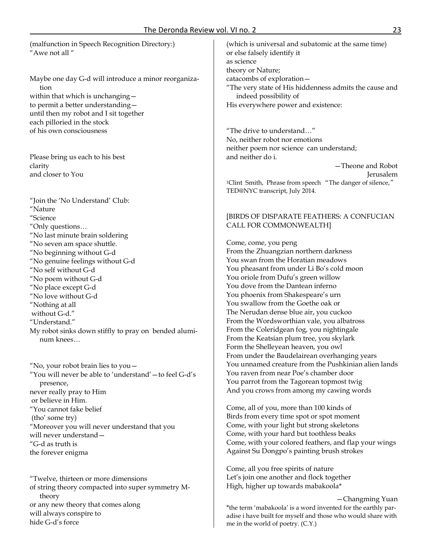(malfunction in Speech Recognition Directory:) "Awe not all "

Maybe one day G-d will introduce a minor reorganization within that which is unchanging to permit a better understanding until then my robot and I sit together each pilloried in the stock of his own consciousness

Please bring us each to his best clarity and closer to You

"Join the 'No Understand' Club: "Nature "Science "Only questions… "No last minute brain soldering "No seven am space shuttle. "No beginning without G-d "No genuine feelings without G-d "No self without G-d "No poem without G-d "No place except G-d "No love without G-d "Nothing at all without G-d." "Understand." My robot sinks down stiffly to pray on bended aluminum knees…

"No, your robot brain lies to you— "You will never be able to 'understand'—to feel G-d's presence, never really pray to Him or believe in Him. "You cannot fake belief (tho' some try) "Moreover you will never understand that you will never understand— "G-d as truth is the forever enigma

"Twelve, thirteen or more dimensions of string theory compacted into super symmetry Mtheory or any new theory that comes along will always conspire to hide G-d's force

(which is universal and subatomic at the same time) or else falsely identify it as science theory or Nature; catacombs of exploration— "The very state of His hiddenness admits the cause and indeed possibility of His everywhere power and existence:

"The drive to understand…" No, neither robot nor emotions neither poem nor science can understand; and neither do i.

—Theone and Robot Jerusalem <sup>1</sup>Clint Smith, Phrase from speech "The danger of silence," TED@NYC transcript, July 2014.

# [BIRDS OF DISPARATE FEATHERS: A CONFUCIAN CALL FOR COMMONWEALTH]

Come, come, you peng From the Zhuangzian northern darkness You swan from the Horatian meadows You pheasant from under Li Bo's cold moon You oriole from Dufu's green willow You dove from the Dantean inferno You phoenix from Shakespeare's urn You swallow from the Goethe oak or The Nerudan dense blue air, you cuckoo From the Wordsworthian vale, you albatross From the Coleridgean fog, you nightingale From the Keatsian plum tree, you skylark Form the Shelleyean heaven, you owl From under the Baudelairean overhanging years You unnamed creature from the Pushkinian alien lands You raven from near Poe's chamber door You parrot from the Tagorean topmost twig And you crows from among my cawing words

Come, all of you, more than 100 kinds of Birds from every time spot or spot moment Come, with your light but strong skeletons Come, with your hard but toothless beaks Come, with your colored feathers, and flap your wings Against Su Dongpo's painting brush strokes

Come, all you free spirits of nature Let's join one another and flock together High, higher up towards mabakoola\*

 —Changming Yuan \*the term 'mabakoola' is a word invented for the earthly paradise i have built for myself and those who would share with me in the world of poetry. (C.Y.)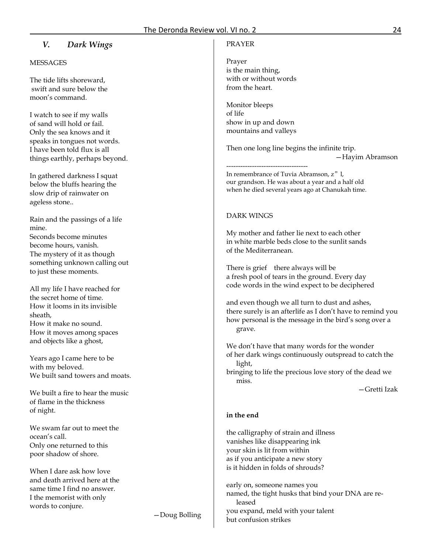# *V. Dark Wings*

## **MESSAGES**

The tide lifts shoreward, swift and sure below the moon's command.

I watch to see if my walls of sand will hold or fail. Only the sea knows and it speaks in tongues not words. I have been told flux is all things earthly, perhaps beyond.

In gathered darkness I squat below the bluffs hearing the slow drip of rainwater on ageless stone..

Rain and the passings of a life mine. Seconds become minutes become hours, vanish. The mystery of it as though something unknown calling out to just these moments.

All my life I have reached for the secret home of time. How it looms in its invisible sheath, How it make no sound. How it moves among spaces and objects like a ghost,

Years ago I came here to be with my beloved. We built sand towers and moats.

We built a fire to hear the music of flame in the thickness of night.

We swam far out to meet the ocean's call. Only one returned to this poor shadow of shore.

When I dare ask how love and death arrived here at the same time I find no answer. I the memorist with only words to conjure.

—Doug Bolling

#### PRAYER

Prayer is the main thing, with or without words from the heart.

Monitor bleeps of life show in up and down mountains and valleys

-----------------------------------

Then one long line begins the infinite trip. —Hayim Abramson

In remembrance of Tuvia Abramson, z"l, our grandson. He was about a year and a half old when he died several years ago at Chanukah time.

## DARK WINGS

My mother and father lie next to each other in white marble beds close to the sunlit sands of the Mediterranean.

There is grief there always will be a fresh pool of tears in the ground. Every day code words in the wind expect to be deciphered

and even though we all turn to dust and ashes, there surely is an afterlife as I don't have to remind you how personal is the message in the bird's song over a grave.

We don't have that many words for the wonder of her dark wings continuously outspread to catch the light,

bringing to life the precious love story of the dead we miss.

—Gretti Izak

#### **in the end**

the calligraphy of strain and illness vanishes like disappearing ink your skin is lit from within as if you anticipate a new story is it hidden in folds of shrouds?

early on, someone names you named, the tight husks that bind your DNA are released you expand, meld with your talent but confusion strikes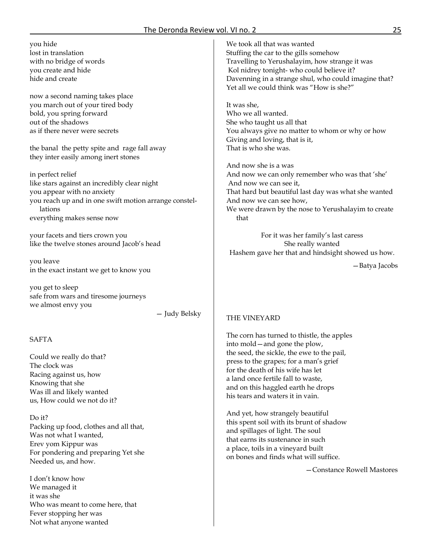## The Deronda Review vol. VI no. 2 25

you hide lost in translation with no bridge of words you create and hide hide and create

now a second naming takes place you march out of your tired body bold, you spring forward out of the shadows as if there never were secrets

the banal the petty spite and rage fall away they inter easily among inert stones

in perfect relief like stars against an incredibly clear night you appear with no anxiety you reach up and in one swift motion arrange constellations everything makes sense now

your facets and tiers crown you like the twelve stones around Jacob's head

you leave in the exact instant we get to know you

you get to sleep safe from wars and tiresome journeys we almost envy you

— Judy Belsky

## SAFTA

Could we really do that? The clock was Racing against us, how Knowing that she Was ill and likely wanted us, How could we not do it?

Do it? Packing up food, clothes and all that, Was not what I wanted, Erev yom Kippur was For pondering and preparing Yet she Needed us, and how.

I don't know how We managed it it was she Who was meant to come here, that Fever stopping her was Not what anyone wanted

We took all that was wanted Stuffing the car to the gills somehow Travelling to Yerushalayim, how strange it was Kol nidrey tonight- who could believe it? Davenning in a strange shul, who could imagine that? Yet all we could think was "How is she?"

It was she, Who we all wanted. She who taught us all that You always give no matter to whom or why or how Giving and loving, that is it, That is who she was.

And now she is a was And now we can only remember who was that 'she' And now we can see it, That hard but beautiful last day was what she wanted And now we can see how, We were drawn by the nose to Yerushalayim to create that

For it was her family's last caress She really wanted Hashem gave her that and hindsight showed us how.

—Batya Jacobs

## THE VINEYARD

The corn has turned to thistle, the apples into mold—and gone the plow, the seed, the sickle, the ewe to the pail, press to the grapes; for a man's grief for the death of his wife has let a land once fertile fall to waste, and on this haggled earth he drops his tears and waters it in vain.

And yet, how strangely beautiful this spent soil with its brunt of shadow and spillages of light. The soul that earns its sustenance in such a place, toils in a vineyard built on bones and finds what will suffice.

—Constance Rowell Mastores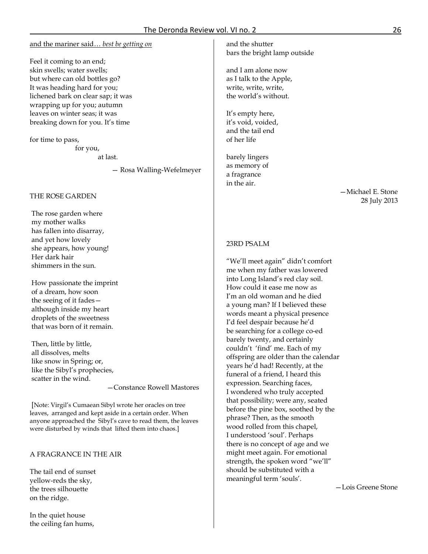#### and the mariner said… *best be getting on*

Feel it coming to an end; skin swells; water swells; but where can old bottles go? It was heading hard for you; lichened bark on clear sap; it was wrapping up for you; autumn leaves on winter seas; it was breaking down for you. It's time

for time to pass,

 for you, at last.

— Rosa Walling-Wefelmeyer

## THE ROSE GARDEN

The rose garden where my mother walks has fallen into disarray, and yet how lovely she appears, how young! Her dark hair shimmers in the sun.

How passionate the imprint of a dream, how soon the seeing of it fades although inside my heart droplets of the sweetness that was born of it remain.

Then, little by little, all dissolves, melts like snow in Spring; or, like the Sibyl's prophecies, scatter in the wind.

—Constance Rowell Mastores

[Note: Virgil's Cumaean Sibyl wrote her oracles on tree leaves, arranged and kept aside in a certain order. When anyone approached the Sibyl's cave to read them, the leaves were disturbed by winds that lifted them into chaos.]

# A FRAGRANCE IN THE AIR

The tail end of sunset yellow-reds the sky, the trees silhouette on the ridge.

In the quiet house the ceiling fan hums, and the shutter bars the bright lamp outside

and I am alone now as I talk to the Apple, write, write, write, the world's without.

It's empty here, it's void, voided, and the tail end of her life

barely lingers as memory of a fragrance in the air.

> —Michael E. Stone 28 July 2013

## 23RD PSALM

"We'll meet again" didn't comfort me when my father was lowered into Long Island's red clay soil. How could it ease me now as I'm an old woman and he died a young man? If I believed these words meant a physical presence I'd feel despair because he'd be searching for a college co-ed barely twenty, and certainly couldn't 'find' me. Each of my offspring are older than the calendar years he'd had! Recently, at the funeral of a friend, I heard this expression. Searching faces, I wondered who truly accepted that possibility; were any, seated before the pine box, soothed by the phrase? Then, as the smooth wood rolled from this chapel, I understood 'soul'. Perhaps there is no concept of age and we might meet again. For emotional strength, the spoken word "we'll" should be substituted with a meaningful term 'souls'.

—Lois Greene Stone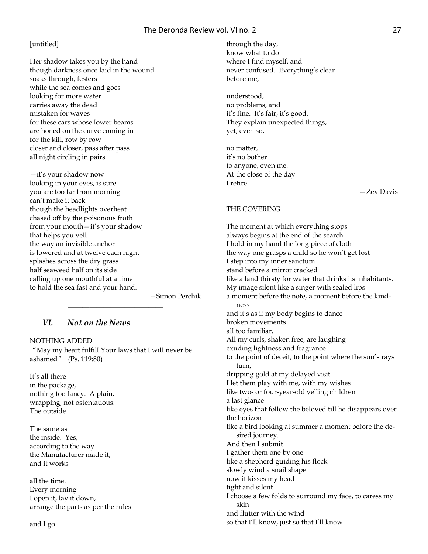# [untitled]

Her shadow takes you by the hand though darkness once laid in the wound soaks through, festers while the sea comes and goes looking for more water carries away the dead mistaken for waves for these cars whose lower beams are honed on the curve coming in for the kill, row by row closer and closer, pass after pass all night circling in pairs

—it's your shadow now looking in your eyes, is sure you are too far from morning can't make it back though the headlights overheat chased off by the poisonous froth from your mouth—it's your shadow that helps you yell the way an invisible anchor is lowered and at twelve each night splashes across the dry grass half seaweed half on its side calling up one mouthful at a time to hold the sea fast and your hand.

—Simon Perchik

# *VI. Not on the News*

## NOTHING ADDED

"May my heart fulfill Your laws that I will never be ashamed" (Ps. 119:80)

\_\_\_\_\_\_\_\_\_\_\_\_\_\_\_\_\_\_\_\_\_\_\_\_\_\_\_

It's all there in the package, nothing too fancy. A plain, wrapping, not ostentatious. The outside

The same as the inside. Yes, according to the way the Manufacturer made it, and it works

all the time. Every morning I open it, lay it down, arrange the parts as per the rules

and I go

through the day, know what to do where I find myself, and never confused. Everything's clear before me,

understood, no problems, and it's fine. It's fair, it's good. They explain unexpected things, yet, even so,

no matter, it's no bother to anyone, even me. At the close of the day I retire.

—Zev Davis

# THE COVERING

The moment at which everything stops always begins at the end of the search I hold in my hand the long piece of cloth the way one grasps a child so he won't get lost I step into my inner sanctum stand before a mirror cracked like a land thirsty for water that drinks its inhabitants. My image silent like a singer with sealed lips a moment before the note, a moment before the kindness and it's as if my body begins to dance broken movements all too familiar. All my curls, shaken free, are laughing exuding lightness and fragrance to the point of deceit, to the point where the sun's rays turn, dripping gold at my delayed visit I let them play with me, with my wishes like two- or four-year-old yelling children a last glance like eyes that follow the beloved till he disappears over the horizon like a bird looking at summer a moment before the desired journey. And then I submit I gather them one by one like a shepherd guiding his flock slowly wind a snail shape now it kisses my head tight and silent I choose a few folds to surround my face, to caress my skin and flutter with the wind so that I'll know, just so that I'll know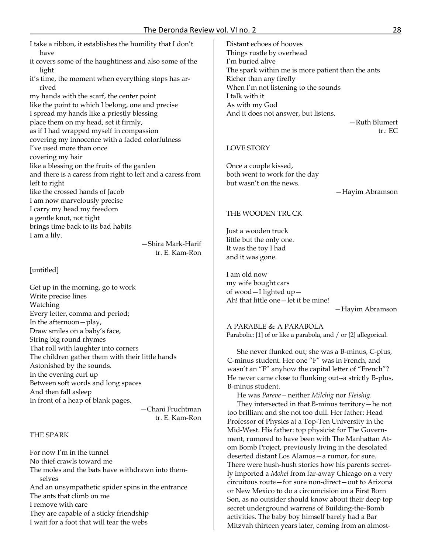I take a ribbon, it establishes the humility that I don't have it covers some of the haughtiness and also some of the light it's time, the moment when everything stops has arrived my hands with the scarf, the center point like the point to which I belong, one and precise I spread my hands like a priestly blessing place them on my head, set it firmly, as if I had wrapped myself in compassion covering my innocence with a faded colorfulness I've used more than once covering my hair like a blessing on the fruits of the garden and there is a caress from right to left and a caress from

left to right like the crossed hands of Jacob I am now marvelously precise I carry my head my freedom a gentle knot, not tight brings time back to its bad habits I am a lily.

 —Shira Mark-Harif tr. E. Kam-Ron

## [untitled]

Get up in the morning, go to work Write precise lines Watching Every letter, comma and period; In the afternoon—play, Draw smiles on a baby's face, String big round rhymes That roll with laughter into corners The children gather them with their little hands Astonished by the sounds. In the evening curl up Between soft words and long spaces And then fall asleep In front of a heap of blank pages.

 —Chani Fruchtman tr. E. Kam-Ron

## THE SPARK

For now I'm in the tunnel No thief crawls toward me The moles and the bats have withdrawn into themselves And an unsympathetic spider spins in the entrance The ants that climb on me I remove with care They are capable of a sticky friendship I wait for a foot that will tear the webs

Distant echoes of hooves Things rustle by overhead I'm buried alive The spark within me is more patient than the ants Richer than any firefly When I'm not listening to the sounds I talk with it As with my God And it does not answer, but listens.

—Ruth Blumert tr.: EC

#### LOVE STORY

Once a couple kissed, both went to work for the day but wasn't on the news.

—Hayim Abramson

#### THE WOODEN TRUCK

Just a wooden truck little but the only one. It was the toy I had and it was gone.

I am old now my wife bought cars of wood—I lighted up— Ah! that little one—let it be mine!

—Hayim Abramson

A PARABLE & A PARABOLA Parabolic: [1] of or like a parabola, and / or [2] allegorical.

She never flunked out; she was a B-minus, C-plus, C-minus student. Her one "F" was in French, and wasn't an "F" anyhow the capital letter of "French"? He never came close to flunking out--a strictly B-plus, B-minus student.

He was *Pareve—*neither *Milchig* nor *Fleishig.*  They intersected in that B-minus territory—he not too brilliant and she not too dull. Her father: Head Professor of Physics at a Top-Ten University in the Mid-West. His father: top physicist for The Government, rumored to have been with The Manhattan Atom Bomb Project, previously living in the desolated deserted distant Los Alamos—a rumor, for sure. There were hush-hush stories how his parents secretly imported a *Mohel* from far-away Chicago on a very circuitous route—for sure non-direct—out to Arizona or New Mexico to do a circumcision on a First Born Son, as no outsider should know about their deep top secret underground warrens of Building-the-Bomb activities. The baby boy himself barely had a Bar Mitzvah thirteen years later, coming from an almost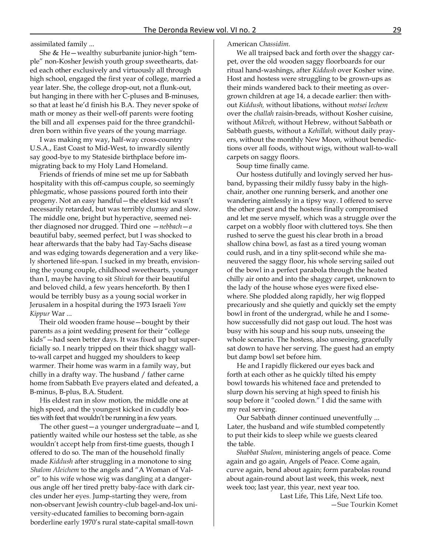assimilated family ...

She & He—wealthy suburbanite junior-high "temple" non-Kosher Jewish youth group sweethearts, dated each other exclusively and virtuously all through high school, engaged the first year of college, married a year later. She, the college drop-out, not a flunk-out, but hanging in there with her C-pluses and B-minuses, so that at least he'd finish his B.A. They never spoke of math or money as their well-off parents were footing the bill and all .expenses paid for the three grandchildren born within five years of the young marriage.

I was making my way, half-way cross-country U.S.A., East Coast to Mid-West, to inwardly silently say good-bye to my Stateside birthplace before immigrating back to my Holy Land Homeland.

Friends of friends of mine set me up for Sabbath hospitality with this off-campus couple, so seemingly phlegmatic, whose passions poured forth into their progeny. Not an easy handful—the eldest kid wasn't necessarily retarded, but was terribly clumsy and slow. The middle one, bright but hyperactive, seemed neither diagnosed nor drugged. Third one —*nebbach*—*a*  beautiful baby, seemed perfect, but I was shocked to hear afterwards that the baby had Tay-Sachs disease and was edging towards degeneration and a very likely shortened life-span. I sucked in my breath, envisioning the young couple, childhood sweethearts, younger than I, maybe having to sit *Shivah* for their beautiful and beloved child, a few years henceforth. By then I would be terribly busy as a young social worker in Jerusalem in a hospital during the 1973 Israeli *Yom Kippur* War ...

Their old wooden frame house—bought by their parents as a joint wedding present for their "college kids"—had seen better days. It was fixed up but superficially so. I nearly tripped on their thick shaggy wallto-wall carpet and hugged my shoulders to keep warmer. Their home was warm in a family way, but chilly in a drafty way. The husband / father carne home from Sabbath Eve prayers elated and defeated, a B-minus, B-plus, B.A. Student.

His eldest ran in slow motion, the middle one at high speed, and the youngest kicked in cuddly booties with feet that wouldn't be running in a few years.

The other guest—a younger undergraduate—and I, patiently waited while our hostess set the table, as she wouldn't accept help from first-time guests, though I offered to do so. The man of the household finally made *Kiddush* after struggling in a monotone to sing *Shalom Aleichem* to the angels and "A Woman of Valor" to his wife whose wig was dangling at a dangerous angle off her tired pretty baby-face with dark circles under her eyes. Jump-starting they were, from non-observant Jewish country-club bagel-and-lox university-educated families to becoming born-again borderline early 1970's rural state-capital small-town

#### American *Chassidim.*

We all traipsed back and forth over the shaggy carpet, over the old wooden saggy floorboards for our ritual hand-washings, after *Kiddush* over Kosher wine. Host and hostess were struggling to be grown-ups as their minds wandered back to their meeting as overgrown children at age 14, a decade earlier: then without *Kiddush,* without libations, without *motsei lechem*  over the *challah* raisin-breads, without Kosher cuisine, without *Mikveh,* without Hebrew, without Sabbath or Sabbath guests, without a *Kehillah,* without daily prayers, without the monthly New Moon, without benedictions over all foods, without wigs, without wall-to-wall carpets on saggy floors.

Soup time finally came.

Our hostess dutifully and lovingly served her husband, bypassing their mildly fussy baby in the highchair, another one running berserk, and another one wandering aimlessly in a tipsy way. I offered to serve the other guest and the hostess finally compromised and let me serve myself, which was a struggle over the carpet on a wobbly floor with cluttered toys. She then rushed to serve the guest his clear broth in a broad shallow china bowl, as fast as a tired young woman could rush, and in a tiny split-second while she maneuvered the saggy floor, his whole serving sailed out of the bowl in a perfect parabola through the heated chilly air onto and into the shaggy carpet, unknown to the lady of the house whose eyes were fixed elsewhere. She plodded along rapidly, her wig flopped precariously and she quietly and quickly set the empty bowl in front of the undergrad, while he and I somehow successfully did not gasp out loud. The host was busy with his soup and his soup nuts, unseeing the whole scenario. The hostess, also unseeing, gracefully sat down to have her serving. The guest had an empty but damp bowl set before him.

He and I rapidly flickered our eyes back and forth at each other as he quickly tilted his empty bowl towards his whitened face and pretended to slurp down his serving at high speed to finish his soup before it "cooled down." I did the same with my real serving.

Our Sabbath dinner continued uneventfully ... Later, the husband and wife stumbled competently to put their kids to sleep while we guests cleared the table.

*Shabbat Shalom,* ministering angels of peace. Come again and go again, Angels of Peace. Come again, curve again, bend about again; form parabolas round about again-round about last week, this week, next week too; last year, this year, next year too.

> Last Life, This Life, Next Life too. —Sue Tourkin Komet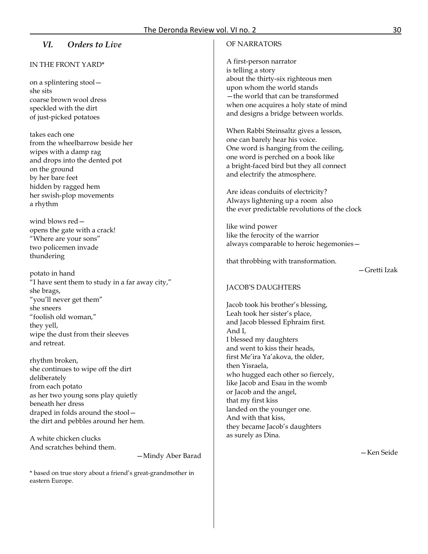# *VI. Orders to Live*

# IN THE FRONT YARD\*

on a splintering stool she sits coarse brown wool dress speckled with the dirt of just-picked potatoes

takes each one from the wheelbarrow beside her wipes with a damp rag and drops into the dented pot on the ground by her bare feet hidden by ragged hem her swish-plop movements a rhythm

wind blows red opens the gate with a crack! "Where are your sons" two policemen invade thundering

potato in hand "I have sent them to study in a far away city," she brags, "you'll never get them" she sneers "foolish old woman," they yell, wipe the dust from their sleeves and retreat.

rhythm broken, she continues to wipe off the dirt deliberately from each potato as her two young sons play quietly beneath her dress draped in folds around the stool the dirt and pebbles around her hem.

A white chicken clucks And scratches behind them.

—Mindy Aber Barad

\* based on true story about a friend's great-grandmother in eastern Europe.

# OF NARRATORS

A first-person narrator is telling a story about the thirty-six righteous men upon whom the world stands —the world that can be transformed when one acquires a holy state of mind and designs a bridge between worlds.

When Rabbi Steinsaltz gives a lesson, one can barely hear his voice. One word is hanging from the ceiling, one word is perched on a book like a bright-faced bird but they all connect and electrify the atmosphere.

Are ideas conduits of electricity? Always lightening up a room also the ever predictable revolutions of the clock

like wind power like the ferocity of the warrior always comparable to heroic hegemonies—

that throbbing with transformation.

—Gretti Izak

#### JACOB'S DAUGHTERS

Jacob took his brother's blessing, Leah took her sister's place, and Jacob blessed Ephraim first. And I, I blessed my daughters and went to kiss their heads, first Me'ira Ya'akova, the older, then Yisraela, who hugged each other so fiercely, like Jacob and Esau in the womb or Jacob and the angel, that my first kiss landed on the younger one. And with that kiss, they became Jacob's daughters as surely as Dina.

—Ken Seide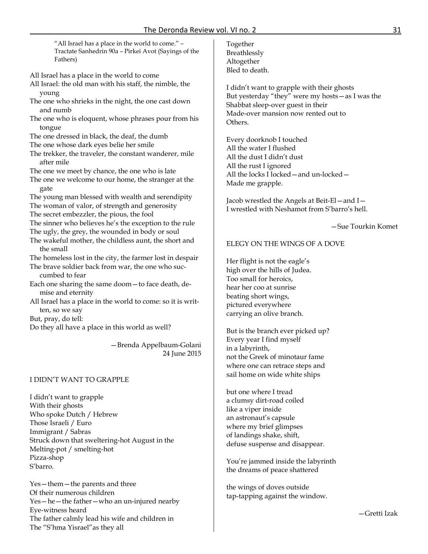"All Israel has a place in the world to come." – Tractate Sanhedrin 90a – Pirkei Avot (Sayings of the Fathers)

- All Israel has a place in the world to come
- All Israel: the old man with his staff, the nimble, the young
- The one who shrieks in the night, the one cast down and numb
- The one who is eloquent, whose phrases pour from his tongue
- The one dressed in black, the deaf, the dumb
- The one whose dark eyes belie her smile
- The trekker, the traveler, the constant wanderer, mile after mile
- The one we meet by chance, the one who is late
- The one we welcome to our home, the stranger at the gate
- The young man blessed with wealth and serendipity
- The woman of valor, of strength and generosity
- The secret embezzler, the pious, the fool
- The sinner who believes he's the exception to the rule
- The ugly, the grey, the wounded in body or soul
- The wakeful mother, the childless aunt, the short and the small

The homeless lost in the city, the farmer lost in despair

- The brave soldier back from war, the one who succumbed to fear
- Each one sharing the same doom—to face death, demise and eternity
- All Israel has a place in the world to come: so it is written, so we say
- But, pray, do tell:
- Do they all have a place in this world as well?

—Brenda Appelbaum-Golani 24 June 2015

## I DIDN'T WANT TO GRAPPLE

I didn't want to grapple With their ghosts Who spoke Dutch / Hebrew Those Israeli / Euro Immigrant / Sabras Struck down that sweltering-hot August in the Melting-pot / smelting-hot Pizza-shop S'barro.

Yes—them—the parents and three Of their numerous children Yes—he—the father—who an un-injured nearby Eye-witness heard The father calmly lead his wife and children in The "S'hma Yisrael"as they all

Together Breathlessly Altogether Bled to death.

I didn't want to grapple with their ghosts But yesterday "they" were my hosts—as I was the Shabbat sleep-over guest in their Made-over mansion now rented out to Others.

Every doorknob I touched All the water I flushed All the dust I didn't dust All the rust I ignored All the locks I locked—and un-locked— Made me grapple.

Jacob wrestled the Angels at Beit-El—and I— I wrestled with Neshamot from S'barro's hell.

—Sue Tourkin Komet

## ELEGY ON THE WINGS OF A DOVE

Her flight is not the eagle's high over the hills of Judea. Too small for heroics, hear her coo at sunrise beating short wings, pictured everywhere carrying an olive branch.

But is the branch ever picked up? Every year I find myself in a labyrinth, not the Greek of minotaur fame where one can retrace steps and sail home on wide white ships

but one where I tread a clumsy dirt-road coiled like a viper inside an astronaut's capsule where my brief glimpses of landings shake, shift, defuse suspense and disappear.

You're jammed inside the labyrinth the dreams of peace shattered

the wings of doves outside tap-tapping against the window.

—Gretti Izak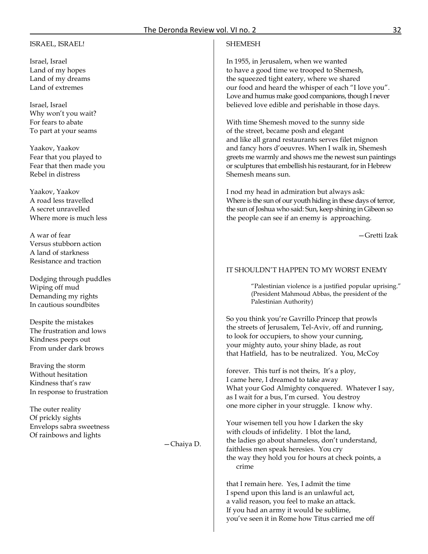#### ISRAEL, ISRAEL!

Israel, Israel Land of my hopes Land of my dreams Land of extremes

Israel, Israel Why won't you wait? For fears to abate To part at your seams

Yaakov, Yaakov Fear that you played to Fear that then made you Rebel in distress

Yaakov, Yaakov A road less travelled A secret unravelled Where more is much less

A war of fear Versus stubborn action A land of starkness Resistance and traction

Dodging through puddles Wiping off mud Demanding my rights In cautious soundbites

Despite the mistakes The frustration and lows Kindness peeps out From under dark brows

Braving the storm Without hesitation Kindness that's raw In response to frustration

The outer reality Of prickly sights Envelops sabra sweetness Of rainbows and lights

—Chaiya D.

## **SHEMESH**

In 1955, in Jerusalem, when we wanted to have a good time we trooped to Shemesh, the squeezed tight eatery, where we shared our food and heard the whisper of each "I love you". Love and humus make good companions, though I never believed love edible and perishable in those days.

With time Shemesh moved to the sunny side of the street, became posh and elegant and like all grand restaurants serves filet mignon and fancy hors d'oeuvres. When I walk in, Shemesh greets me warmly and shows me the newest sun paintings or sculptures that embellish his restaurant, for in Hebrew Shemesh means sun.

I nod my head in admiration but always ask: Where is the sun of our youth hiding in these days of terror, the sun of Joshua who said: Sun, keep shining in Gibeon so the people can see if an enemy is approaching.

—Gretti Izak

# IT SHOULDN'T HAPPEN TO MY WORST ENEMY

"Palestinian violence is a justified popular uprising." (President Mahmoud Abbas, the president of the Palestinian Authority)

So you think you're Gavrillo Princep that prowls the streets of Jerusalem, Tel-Aviv, off and running, to look for occupiers, to show your cunning, your mighty auto, your shiny blade, as rout that Hatfield, has to be neutralized. You, McCoy

forever. This turf is not theirs, It's a ploy, I came here, I dreamed to take away What your God Almighty conquered. Whatever I say, as I wait for a bus, I'm cursed. You destroy one more cipher in your struggle. I know why.

Your wisemen tell you how I darken the sky with clouds of infidelity. I blot the land, the ladies go about shameless, don't understand, faithless men speak heresies. You cry the way they hold you for hours at check points, a crime

that I remain here. Yes, I admit the time I spend upon this land is an unlawful act, a valid reason, you feel to make an attack. If you had an army it would be sublime, you've seen it in Rome how Titus carried me off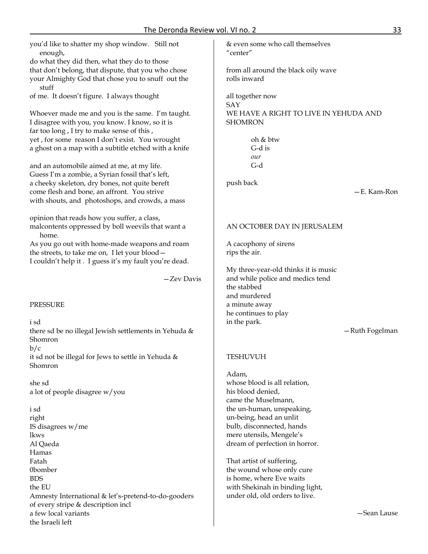you'd like to shatter my shop window. Still not enough,

do what they did then, what they do to those that don't belong, that dispute, that you who chose your Almighty God that chose you to snuff out the stuff

of me. It doesn't figure. I always thought

Whoever made me and you is the same. I'm taught. I disagree with you, you know. I know, so it is far too long , I try to make sense of this , yet , for some reason I don't exist. You wrought a ghost on a map with a subtitle etched with a knife

and an automobile aimed at me, at my life. Guess I'm a zombie, a Syrian fossil that's left, a cheeky skeleton, dry bones, not quite bereft come flesh and bone, an affront. You strive with shouts, and photoshops, and crowds, a mass

opinion that reads how you suffer, a class, malcontents oppressed by boll weevils that want a home.

As you go out with home-made weapons and roam the streets, to take me on, I let your blood— I couldn't help it . I guess it's my fault you're dead.

—Zev Davis

#### PRESSURE

i sd there sd be no illegal Jewish settlements in Yehuda & Shomron

 $b/c$ 

it sd not be illegal for Jews to settle in Yehuda & Shomron

she sd a lot of people disagree w/you

i sd right IS disagrees w/me lkws Al Qaeda Hamas Fatah 0bomber BDS the EU Amnesty International & let's-pretend-to-do-gooders of every stripe & description incl a few local variants the Israeli left

& even some who call themselves "center"

from all around the black oily wave rolls inward

all together now SAY WE HAVE A RIGHT TO LIVE IN YEHUDA AND SHOMRON

> oh & btw G-d is *our* G-d

push back

—E. Kam-Ron

## AN OCTOBER DAY IN JERUSALEM

A cacophony of sirens rips the air.

My three-year-old thinks it is music and while police and medics tend the stabbed and murdered a minute away he continues to play in the park.

—Ruth Fogelman

#### TESHUVUH

Adam, whose blood is all relation, his blood denied, came the Muselmann, the un-human, unspeaking, un-being, head an unlit bulb, disconnected, hands mere utensils, Mengele's dream of perfection in horror.

That artist of suffering, the wound whose only cure is home, where Eve waits with Shekinah in binding light, under old, old orders to live.

—Sean Lause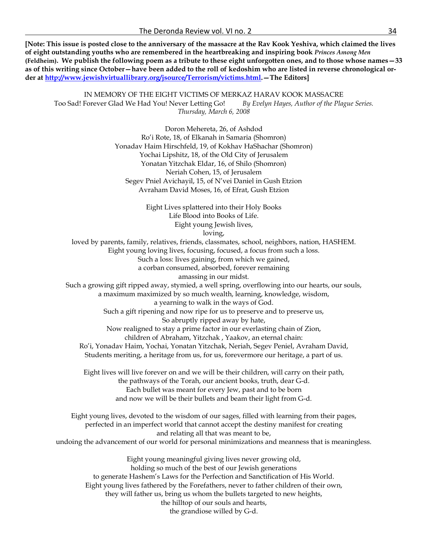**[Note: This issue is posted close to the anniversary of the massacre at the Rav Kook Yeshiva, which claimed the lives of eight outstanding youths who are remembered in the heartbreaking and inspiring book** *Princes Among Men* **(Feldheim). We publish the following poem as a tribute to these eight unforgotten ones, and to those whose names—33 as of this writing since October—have been added to the roll of kedoshim who are listed in reverse chronological order at [http://www.jewishvirtuallibrary.org/jsource/Terrorism/victims.html.](http://www.jewishvirtuallibrary.org/jsource/Terrorism/victims.html)—The Editors]**

IN MEMORY OF THE EIGHT VICTIMS OF MERKAZ HARAV KOOK MASSACRE Too Sad! Forever Glad We Had You! Never Letting Go! *By Evelyn Hayes, Author of the Plague Series. Thursday, March 6, 2008*

> Doron Mehereta, 26, of Ashdod Ro'i Rote, 18, of Elkanah in Samaria (Shomron) Yonadav Haim Hirschfeld, 19, of Kokhav HaShachar (Shomron) Yochai Lipshitz, 18, of the Old City of Jerusalem Yonatan Yitzchak Eldar, 16, of Shilo (Shomron) Neriah Cohen, 15, of Jerusalem Segev Pniel Avichayil, 15, of N'vei Daniel in Gush Etzion Avraham David Moses, 16, of Efrat, Gush Etzion

> > Eight Lives splattered into their Holy Books Life Blood into Books of Life. Eight young Jewish lives,

loving, loved by parents, family, relatives, friends, classmates, school, neighbors, nation, HASHEM.

Eight young loving lives, focusing, focused, a focus from such a loss. Such a loss: lives gaining, from which we gained, a corban consumed, absorbed, forever remaining amassing in our midst. Such a growing gift ripped away, stymied, a well spring, overflowing into our hearts, our souls, a maximum maximized by so much wealth, learning, knowledge, wisdom, a yearning to walk in the ways of God. Such a gift ripening and now ripe for us to preserve and to preserve us, So abruptly ripped away by hate, Now realigned to stay a prime factor in our everlasting chain of Zion, children of Abraham, Yitzchak , Yaakov, an eternal chain: Ro'i, Yonadav Haim, Yochai, Yonatan Yitzchak, Neriah, Segev Peniel, Avraham David, Students meriting, a heritage from us, for us, forevermore our heritage, a part of us. Eight lives will live forever on and we will be their children, will carry on their path, the pathways of the Torah, our ancient books, truth, dear G-d. Each bullet was meant for every Jew, past and to be born and now we will be their bullets and beam their light from G-d. Eight young lives, devoted to the wisdom of our sages, filled with learning from their pages, perfected in an imperfect world that cannot accept the destiny manifest for creating and relating all that was meant to be, undoing the advancement of our world for personal minimizations and meanness that is meaningless. Eight young meaningful giving lives never growing old, holding so much of the best of our Jewish generations to generate Hashem's Laws for the Perfection and Sanctification of His World. Eight young lives fathered by the Forefathers, never to father children of their own,

they will father us, bring us whom the bullets targeted to new heights,

the hilltop of our souls and hearts,

the grandiose willed by G-d.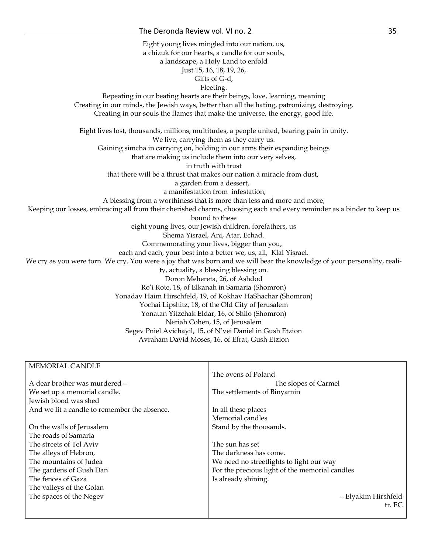Eight young lives mingled into our nation, us, a chizuk for our hearts, a candle for our souls, a landscape, a Holy Land to enfold Just 15, 16, 18, 19, 26, Gifts of G-d, Fleeting. Repeating in our beating hearts are their beings, love, learning, meaning Creating in our minds, the Jewish ways, better than all the hating, patronizing, destroying. Creating in our souls the flames that make the universe, the energy, good life. Eight lives lost, thousands, millions, multitudes, a people united, bearing pain in unity. We live, carrying them as they carry us. Gaining simcha in carrying on, holding in our arms their expanding beings that are making us include them into our very selves, in truth with trust that there will be a thrust that makes our nation a miracle from dust, a garden from a dessert, a manifestation from infestation, A blessing from a worthiness that is more than less and more and more, Keeping our losses, embracing all from their cherished charms, choosing each and every reminder as a binder to keep us bound to these eight young lives, our Jewish children, forefathers, us Shema Yisrael, Ani, Atar, Echad. Commemorating your lives, bigger than you, each and each, your best into a better we, us, all, Klal Yisrael. We cry as you were torn. We cry. You were a joy that was born and we will bear the knowledge of your personality, reality, actuality, a blessing blessing on. Doron Mehereta, 26, of Ashdod Ro'i Rote, 18, of Elkanah in Samaria (Shomron) Yonadav Haim Hirschfeld, 19, of Kokhav HaShachar (Shomron) Yochai Lipshitz, 18, of the Old City of Jerusalem Yonatan Yitzchak Eldar, 16, of Shilo (Shomron) Neriah Cohen, 15, of Jerusalem Segev Pniel Avichayil, 15, of N'vei Daniel in Gush Etzion Avraham David Moses, 16, of Efrat, Gush Etzion

| MEMORIAL CANDLE                              |                                                |
|----------------------------------------------|------------------------------------------------|
|                                              | The ovens of Poland                            |
| A dear brother was murdered –                | The slopes of Carmel                           |
| We set up a memorial candle.                 | The settlements of Binyamin                    |
| Jewish blood was shed                        |                                                |
| And we lit a candle to remember the absence. | In all these places                            |
|                                              | Memorial candles                               |
| On the walls of Jerusalem                    | Stand by the thousands.                        |
| The roads of Samaria                         |                                                |
| The streets of Tel Aviv                      | The sun has set                                |
| The alleys of Hebron,                        | The darkness has come.                         |
| The mountains of Judea                       | We need no streetlights to light our way       |
| The gardens of Gush Dan                      | For the precious light of the memorial candles |
| The fences of Gaza                           | Is already shining.                            |
| The valleys of the Golan                     |                                                |
| The spaces of the Negev                      | — Elyakim Hirshfeld                            |
|                                              | tr. EC                                         |
|                                              |                                                |